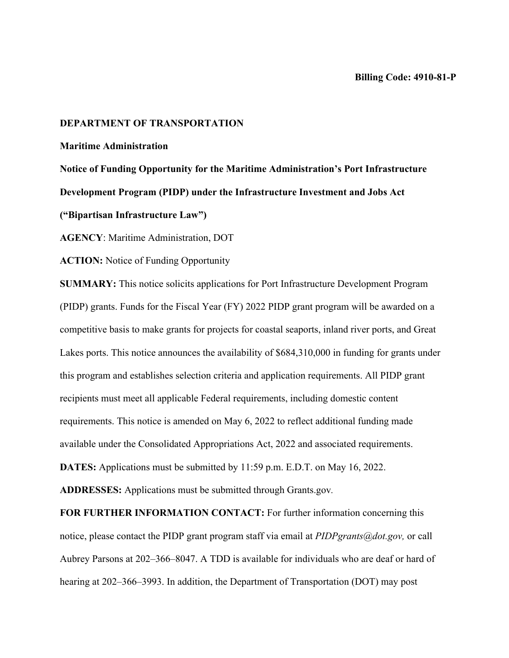## **DEPARTMENT OF TRANSPORTATION**

# **Maritime Administration**

**Notice of Funding Opportunity for the Maritime Administration's Port Infrastructure Development Program (PIDP) under the Infrastructure Investment and Jobs Act** 

**("Bipartisan Infrastructure Law")**

**AGENCY**: Maritime Administration, DOT

**ACTION:** Notice of Funding Opportunity

**SUMMARY:** This notice solicits applications for Port Infrastructure Development Program (PIDP) grants. Funds for the Fiscal Year (FY) 2022 PIDP grant program will be awarded on a competitive basis to make grants for projects for coastal seaports, inland river ports, and Great Lakes ports. This notice announces the availability of \$684,310,000 in funding for grants under this program and establishes selection criteria and application requirements. All PIDP grant recipients must meet all applicable Federal requirements, including domestic content requirements. This notice is amended on May 6, 2022 to reflect additional funding made available under the Consolidated Appropriations Act, 2022 and associated requirements. **DATES:** Applications must be submitted by 11:59 p.m. E.D.T. on May 16, 2022.

**ADDRESSES:** Applications must be submitted through Grants.gov*.*

**FOR FURTHER INFORMATION CONTACT:** For further information concerning this notice, please contact the PIDP grant program staff via email at *PIDPgrants@dot.gov,* or call Aubrey Parsons at 202–366–8047. A TDD is available for individuals who are deaf or hard of hearing at 202–366–3993. In addition, the Department of Transportation (DOT) may post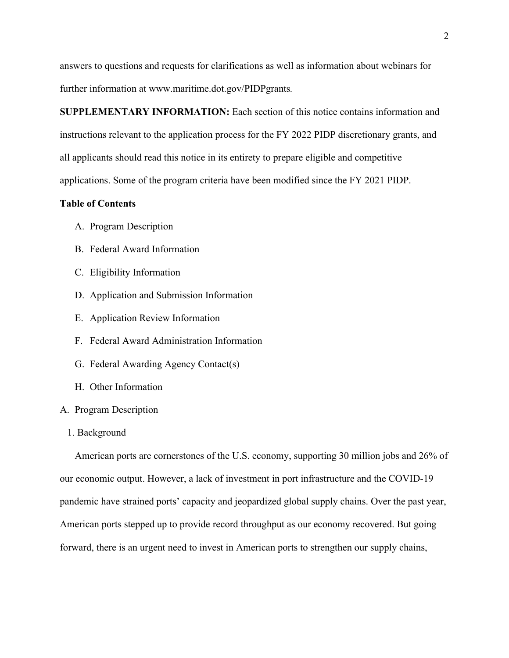answers to questions and requests for clarifications as well as information about webinars for further information at www.maritime.dot.gov/PIDPgrants*.*

**SUPPLEMENTARY INFORMATION:** Each section of this notice contains information and instructions relevant to the application process for the FY 2022 PIDP discretionary grants, and all applicants should read this notice in its entirety to prepare eligible and competitive applications. Some of the program criteria have been modified since the FY 2021 PIDP.

# **Table of Contents**

- A. Program Description
- B. Federal Award Information
- C. Eligibility Information
- D. Application and Submission Information
- E. Application Review Information
- F. Federal Award Administration Information
- G. Federal Awarding Agency Contact(s)
- H. Other Information

#### A. Program Description

## 1. Background

American ports are cornerstones of the U.S. economy, supporting 30 million jobs and 26% of our economic output. However, a lack of investment in port infrastructure and the COVID-19 pandemic have strained ports' capacity and jeopardized global supply chains. Over the past year, American ports stepped up to provide record throughput as our economy recovered. But going forward, there is an urgent need to invest in American ports to strengthen our supply chains,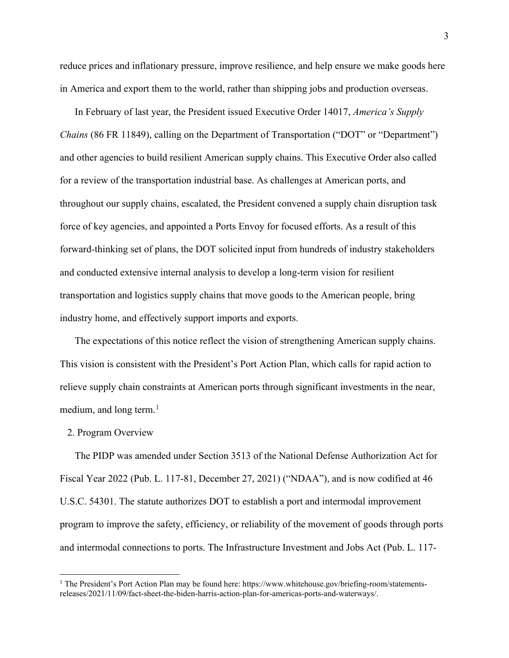reduce prices and inflationary pressure, improve resilience, and help ensure we make goods here in America and export them to the world, rather than shipping jobs and production overseas.

In February of last year, the President issued Executive Order 14017, *America's Supply Chains* (86 FR 11849), calling on the Department of Transportation ("DOT" or "Department") and other agencies to build resilient American supply chains. This Executive Order also called for a review of the transportation industrial base. As challenges at American ports, and throughout our supply chains, escalated, the President convened a supply chain disruption task force of key agencies, and appointed a Ports Envoy for focused efforts. As a result of this forward-thinking set of plans, the DOT solicited input from hundreds of industry stakeholders and conducted extensive internal analysis to develop a long-term vision for resilient transportation and logistics supply chains that move goods to the American people, bring industry home, and effectively support imports and exports.

The expectations of this notice reflect the vision of strengthening American supply chains. This vision is consistent with the President's Port Action Plan, which calls for rapid action to relieve supply chain constraints at American ports through significant investments in the near, medium, and long term. $<sup>1</sup>$  $<sup>1</sup>$  $<sup>1</sup>$ </sup>

#### 2. Program Overview

The PIDP was amended under Section 3513 of the National Defense Authorization Act for Fiscal Year 2022 (Pub. L. 117-81, December 27, 2021) ("NDAA"), and is now codified at 46 U.S.C. 54301. The statute authorizes DOT to establish a port and intermodal improvement program to improve the safety, efficiency, or reliability of the movement of goods through ports and intermodal connections to ports. The Infrastructure Investment and Jobs Act (Pub. L. 117-

<span id="page-2-0"></span><sup>&</sup>lt;sup>1</sup> The President's Port Action Plan may be found here: https://www.whitehouse.gov/briefing-room/statementsreleases/2021/11/09/fact-sheet-the-biden-harris-action-plan-for-americas-ports-and-waterways/.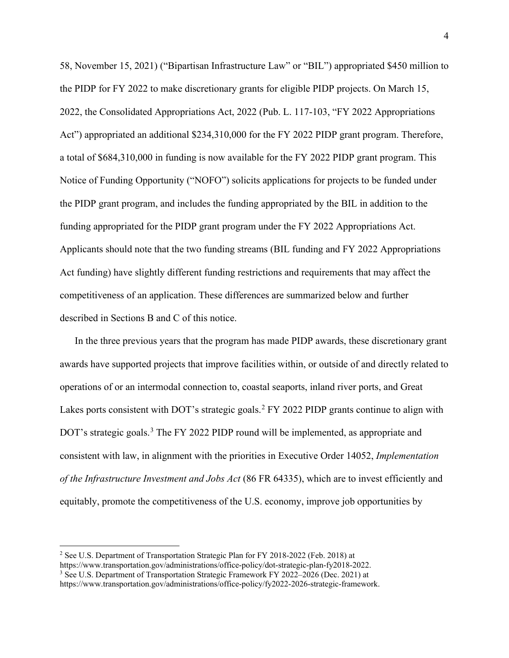58, November 15, 2021) ("Bipartisan Infrastructure Law" or "BIL") appropriated \$450 million to the PIDP for FY 2022 to make discretionary grants for eligible PIDP projects. On March 15, 2022, the Consolidated Appropriations Act, 2022 (Pub. L. 117-103, "FY 2022 Appropriations Act") appropriated an additional \$234,310,000 for the FY 2022 PIDP grant program. Therefore, a total of \$684,310,000 in funding is now available for the FY 2022 PIDP grant program. This Notice of Funding Opportunity ("NOFO") solicits applications for projects to be funded under the PIDP grant program, and includes the funding appropriated by the BIL in addition to the funding appropriated for the PIDP grant program under the FY 2022 Appropriations Act. Applicants should note that the two funding streams (BIL funding and FY 2022 Appropriations Act funding) have slightly different funding restrictions and requirements that may affect the competitiveness of an application. These differences are summarized below and further described in Sections B and C of this notice.

In the three previous years that the program has made PIDP awards, these discretionary grant awards have supported projects that improve facilities within, or outside of and directly related to operations of or an intermodal connection to, coastal seaports, inland river ports, and Great Lakes ports consistent with DOT's strategic goals.<sup>[2](#page-3-0)</sup> FY 2022 PIDP grants continue to align with DOT's strategic goals.<sup>[3](#page-3-1)</sup> The FY 2022 PIDP round will be implemented, as appropriate and consistent with law, in alignment with the priorities in Executive Order 14052, *Implementation of the Infrastructure Investment and Jobs Act* (86 FR 64335), which are to invest efficiently and equitably, promote the competitiveness of the U.S. economy, improve job opportunities by

<sup>2</sup> See U.S. Department of Transportation Strategic Plan for FY 2018-2022 (Feb. 2018) at

<span id="page-3-1"></span><span id="page-3-0"></span>https://www.transportation.gov/administrations/office-policy/dot-strategic-plan-fy2018-2022.

<sup>3</sup> See U.S. Department of Transportation Strategic Framework FY 2022–2026 (Dec. 2021) at

https://www.transportation.gov/administrations/office-policy/fy2022-2026-strategic-framework.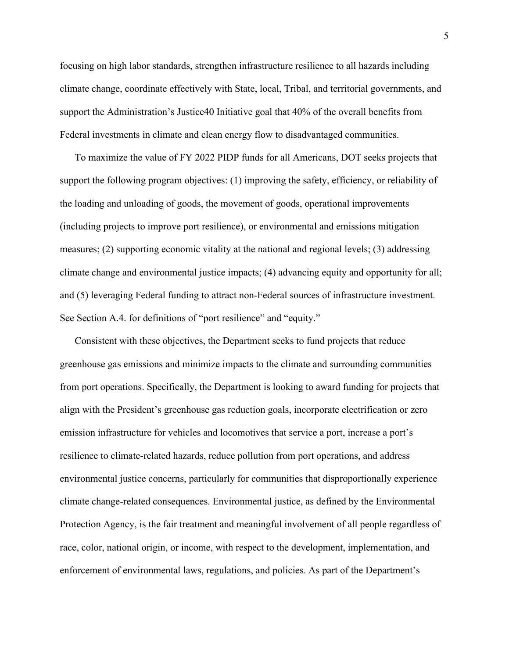focusing on high labor standards, strengthen infrastructure resilience to all hazards including climate change, coordinate effectively with State, local, Tribal, and territorial governments, and support the Administration's Justice40 Initiative goal that 40% of the overall benefits from Federal investments in climate and clean energy flow to disadvantaged communities.

To maximize the value of FY 2022 PIDP funds for all Americans, DOT seeks projects that support the following program objectives: (1) improving the safety, efficiency, or reliability of the loading and unloading of goods, the movement of goods, operational improvements (including projects to improve port resilience), or environmental and emissions mitigation measures; (2) supporting economic vitality at the national and regional levels; (3) addressing climate change and environmental justice impacts; (4) advancing equity and opportunity for all; and (5) leveraging Federal funding to attract non-Federal sources of infrastructure investment. See Section A.4. for definitions of "port resilience" and "equity."

Consistent with these objectives, the Department seeks to fund projects that reduce greenhouse gas emissions and minimize impacts to the climate and surrounding communities from port operations. Specifically, the Department is looking to award funding for projects that align with the President's greenhouse gas reduction goals, incorporate electrification or zero emission infrastructure for vehicles and locomotives that service a port, increase a port's resilience to climate-related hazards, reduce pollution from port operations, and address environmental justice concerns, particularly for communities that disproportionally experience climate change-related consequences. Environmental justice, as defined by the Environmental Protection Agency, is the fair treatment and meaningful involvement of all people regardless of race, color, national origin, or income, with respect to the development, implementation, and enforcement of environmental laws, regulations, and policies. As part of the Department's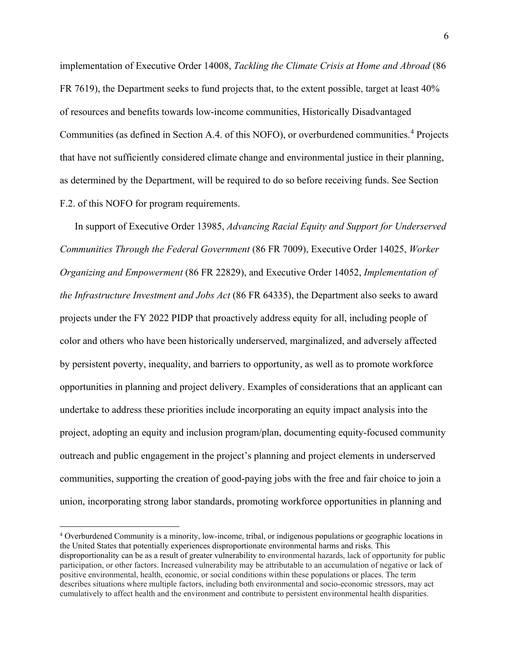implementation of Executive Order 14008, *Tackling the Climate Crisis at Home and Abroad* (86 FR 7619), the Department seeks to fund projects that, to the extent possible, target at least 40% of resources and benefits towards low-income communities, Historically Disadvantaged Communities (as defined in Section A.4. of this NOFO), or overburdened communities.[4](#page-5-0) Projects that have not sufficiently considered climate change and environmental justice in their planning, as determined by the Department, will be required to do so before receiving funds. See Section F.2. of this NOFO for program requirements.

In support of Executive Order 13985, *Advancing Racial Equity and Support for Underserved Communities Through the Federal Government* (86 FR 7009), Executive Order 14025, *Worker Organizing and Empowerment* (86 FR 22829), and Executive Order 14052, *Implementation of the Infrastructure Investment and Jobs Act* (86 FR 64335), the Department also seeks to award projects under the FY 2022 PIDP that proactively address equity for all, including people of color and others who have been historically underserved, marginalized, and adversely affected by persistent poverty, inequality, and barriers to opportunity, as well as to promote workforce opportunities in planning and project delivery. Examples of considerations that an applicant can undertake to address these priorities include incorporating an equity impact analysis into the project, adopting an equity and inclusion program/plan, documenting equity-focused community outreach and public engagement in the project's planning and project elements in underserved communities, supporting the creation of good-paying jobs with the free and fair choice to join a union, incorporating strong labor standards, promoting workforce opportunities in planning and

<span id="page-5-0"></span><sup>4</sup> Overburdened Community is a minority, low-income, tribal, or indigenous populations or geographic locations in the United States that potentially experiences disproportionate environmental harms and risks. This disproportionality can be as a result of greater vulnerability to environmental hazards, lack of opportunity for public participation, or other factors. Increased vulnerability may be attributable to an accumulation of negative or lack of positive environmental, health, economic, or social conditions within these populations or places. The term describes situations where multiple factors, including both environmental and socio-economic stressors, may act cumulatively to affect health and the environment and contribute to persistent environmental health disparities.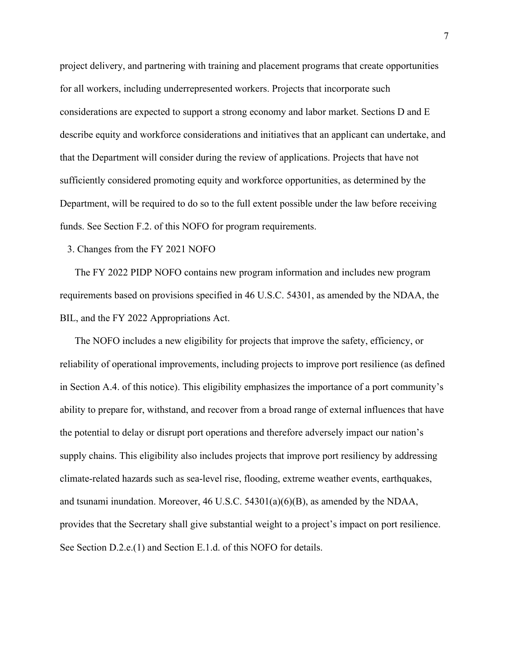project delivery, and partnering with training and placement programs that create opportunities for all workers, including underrepresented workers. Projects that incorporate such considerations are expected to support a strong economy and labor market. Sections D and E describe equity and workforce considerations and initiatives that an applicant can undertake, and that the Department will consider during the review of applications. Projects that have not sufficiently considered promoting equity and workforce opportunities, as determined by the Department, will be required to do so to the full extent possible under the law before receiving funds. See Section F.2. of this NOFO for program requirements.

### 3. Changes from the FY 2021 NOFO

The FY 2022 PIDP NOFO contains new program information and includes new program requirements based on provisions specified in 46 U.S.C. 54301, as amended by the NDAA, the BIL, and the FY 2022 Appropriations Act.

The NOFO includes a new eligibility for projects that improve the safety, efficiency, or reliability of operational improvements, including projects to improve port resilience (as defined in Section A.4. of this notice). This eligibility emphasizes the importance of a port community's ability to prepare for, withstand, and recover from a broad range of external influences that have the potential to delay or disrupt port operations and therefore adversely impact our nation's supply chains. This eligibility also includes projects that improve port resiliency by addressing climate-related hazards such as sea-level rise, flooding, extreme weather events, earthquakes, and tsunami inundation. Moreover, 46 U.S.C. 54301(a)(6)(B), as amended by the NDAA, provides that the Secretary shall give substantial weight to a project's impact on port resilience. See Section D.2.e.(1) and Section E.1.d. of this NOFO for details.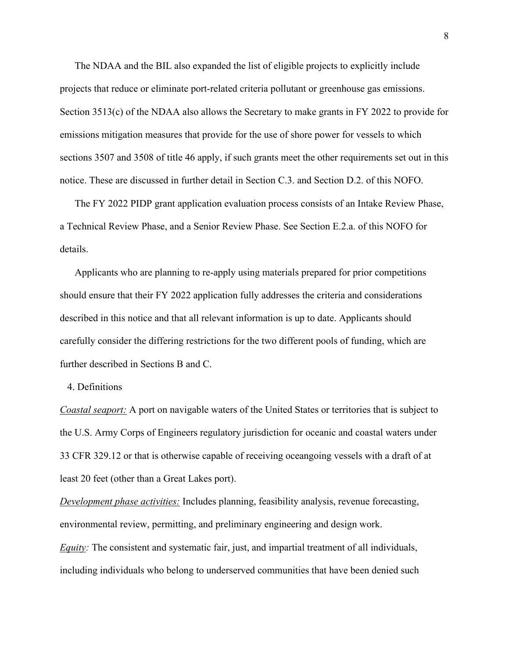The NDAA and the BIL also expanded the list of eligible projects to explicitly include projects that reduce or eliminate port-related criteria pollutant or greenhouse gas emissions. Section 3513(c) of the NDAA also allows the Secretary to make grants in FY 2022 to provide for emissions mitigation measures that provide for the use of shore power for vessels to which sections 3507 and 3508 of title 46 apply, if such grants meet the other requirements set out in this notice. These are discussed in further detail in Section C.3. and Section D.2. of this NOFO.

The FY 2022 PIDP grant application evaluation process consists of an Intake Review Phase, a Technical Review Phase, and a Senior Review Phase. See Section E.2.a. of this NOFO for details.

Applicants who are planning to re-apply using materials prepared for prior competitions should ensure that their FY 2022 application fully addresses the criteria and considerations described in this notice and that all relevant information is up to date. Applicants should carefully consider the differing restrictions for the two different pools of funding, which are further described in Sections B and C.

## 4. Definitions

*Coastal seaport:* A port on navigable waters of the United States or territories that is subject to the U.S. Army Corps of Engineers regulatory jurisdiction for oceanic and coastal waters under 33 CFR 329.12 or that is otherwise capable of receiving oceangoing vessels with a draft of at least 20 feet (other than a Great Lakes port).

*Development phase activities:* Includes planning, feasibility analysis, revenue forecasting, environmental review, permitting, and preliminary engineering and design work. *Equity:* The consistent and systematic fair, just, and impartial treatment of all individuals, including individuals who belong to underserved communities that have been denied such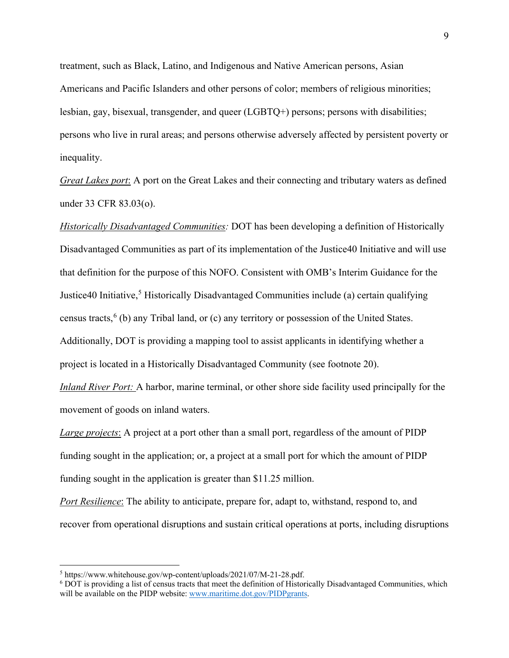treatment, such as Black, Latino, and Indigenous and Native American persons, Asian Americans and Pacific Islanders and other persons of color; members of religious minorities; lesbian, gay, bisexual, transgender, and queer (LGBTQ+) persons; persons with disabilities; persons who live in rural areas; and persons otherwise adversely affected by persistent poverty or inequality.

*Great Lakes port*: A port on the Great Lakes and their connecting and tributary waters as defined under 33 CFR 83.03(o).

*Historically Disadvantaged Communities:* DOT has been developing a definition of Historically Disadvantaged Communities as part of its implementation of the Justice40 Initiative and will use that definition for the purpose of this NOFO. Consistent with OMB's Interim Guidance for the Justice40 Initiative,<sup>[5](#page-8-0)</sup> Historically Disadvantaged Communities include (a) certain qualifying census tracts,<sup>[6](#page-8-1)</sup> (b) any Tribal land, or (c) any territory or possession of the United States. Additionally, DOT is providing a mapping tool to assist applicants in identifying whether a project is located in a Historically Disadvantaged Community (see footnote 20).

*Inland River Port:* A harbor, marine terminal, or other shore side facility used principally for the movement of goods on inland waters.

*Large projects*: A project at a port other than a small port, regardless of the amount of PIDP funding sought in the application; or, a project at a small port for which the amount of PIDP funding sought in the application is greater than \$11.25 million.

*Port Resilience*: The ability to anticipate, prepare for, adapt to, withstand, respond to, and recover from operational disruptions and sustain critical operations at ports, including disruptions

<span id="page-8-0"></span><sup>5</sup> https://www.whitehouse.gov/wp-content/uploads/2021/07/M-21-28.pdf.

<span id="page-8-1"></span><sup>6</sup> DOT is providing a list of census tracts that meet the definition of Historically Disadvantaged Communities, which will be available on the PIDP website: [www.maritime.dot.gov/PIDPgrants.](http://www.maritime.dot.gov/PIDPgrants)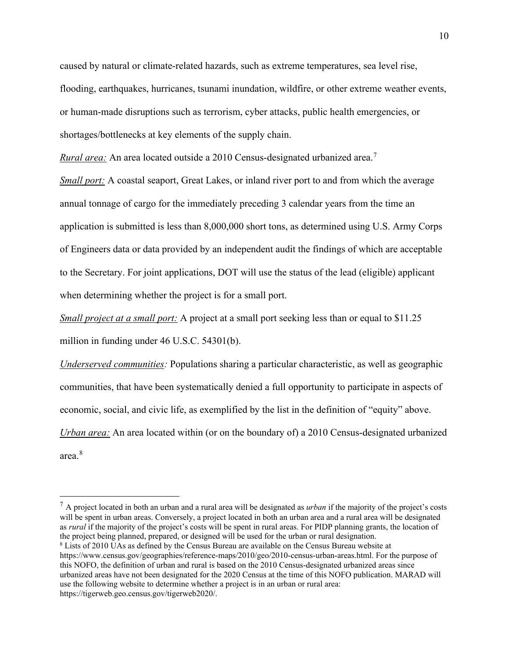caused by natural or climate-related hazards, such as extreme temperatures, sea level rise, flooding, earthquakes, hurricanes, tsunami inundation, wildfire, or other extreme weather events, or human-made disruptions such as terrorism, cyber attacks, public health emergencies, or shortages/bottlenecks at key elements of the supply chain.

*Rural area:* An area located outside a 2010 Census-designated urbanized area.<sup>[7](#page-9-0)</sup>

*Small port:* A coastal seaport, Great Lakes, or inland river port to and from which the average annual tonnage of cargo for the immediately preceding 3 calendar years from the time an application is submitted is less than 8,000,000 short tons, as determined using U.S. Army Corps of Engineers data or data provided by an independent audit the findings of which are acceptable to the Secretary. For joint applications, DOT will use the status of the lead (eligible) applicant when determining whether the project is for a small port.

*Small project at a small port:* A project at a small port seeking less than or equal to \$11.25

million in funding under 46 U.S.C. 54301(b).

*Underserved communities:* Populations sharing a particular characteristic, as well as geographic communities, that have been systematically denied a full opportunity to participate in aspects of economic, social, and civic life, as exemplified by the list in the definition of "equity" above. *Urban area:* An area located within (or on the boundary of) a 2010 Census-designated urbanized area.[8](#page-9-1)

<span id="page-9-0"></span><sup>7</sup> A project located in both an urban and a rural area will be designated as *urban* if the majority of the project's costs will be spent in urban areas. Conversely, a project located in both an urban area and a rural area will be designated as *rural* if the majority of the project's costs will be spent in rural areas. For PIDP planning grants, the location of the project being planned, prepared, or designed will be used for the urban or rural designation.

<span id="page-9-1"></span><sup>8</sup> Lists of 2010 UAs as defined by the Census Bureau are available on the Census Bureau website at https://www.census.gov/geographies/reference-maps/2010/geo/2010-census-urban-areas.html. For the purpose of this NOFO, the definition of urban and rural is based on the 2010 Census-designated urbanized areas since urbanized areas have not been designated for the 2020 Census at the time of this NOFO publication. MARAD will use the following website to determine whether a project is in an urban or rural area: https://tigerweb.geo.census.gov/tigerweb2020/.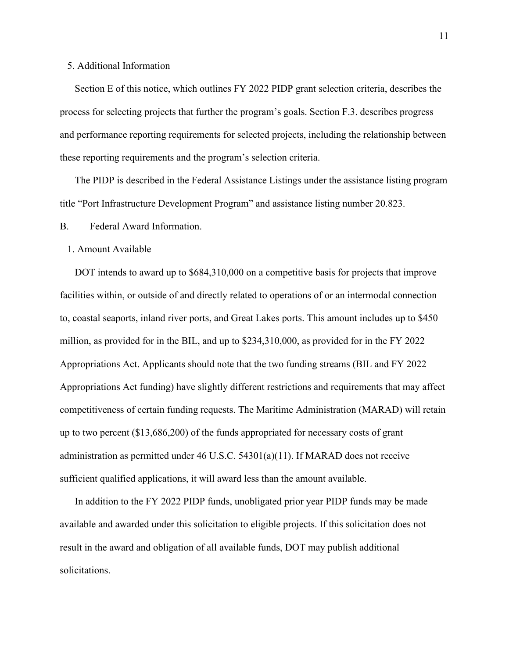# 5. Additional Information

Section E of this notice, which outlines FY 2022 PIDP grant selection criteria, describes the process for selecting projects that further the program's goals. Section F.3. describes progress and performance reporting requirements for selected projects, including the relationship between these reporting requirements and the program's selection criteria.

The PIDP is described in the Federal Assistance Listings under the assistance listing program title "Port Infrastructure Development Program" and assistance listing number 20.823.

## B. Federal Award Information.

#### 1. Amount Available

DOT intends to award up to \$684,310,000 on a competitive basis for projects that improve facilities within, or outside of and directly related to operations of or an intermodal connection to, coastal seaports, inland river ports, and Great Lakes ports. This amount includes up to \$450 million, as provided for in the BIL, and up to \$234,310,000, as provided for in the FY 2022 Appropriations Act. Applicants should note that the two funding streams (BIL and FY 2022 Appropriations Act funding) have slightly different restrictions and requirements that may affect competitiveness of certain funding requests. The Maritime Administration (MARAD) will retain up to two percent (\$13,686,200) of the funds appropriated for necessary costs of grant administration as permitted under 46 U.S.C. 54301(a)(11). If MARAD does not receive sufficient qualified applications, it will award less than the amount available.

In addition to the FY 2022 PIDP funds, unobligated prior year PIDP funds may be made available and awarded under this solicitation to eligible projects. If this solicitation does not result in the award and obligation of all available funds, DOT may publish additional solicitations.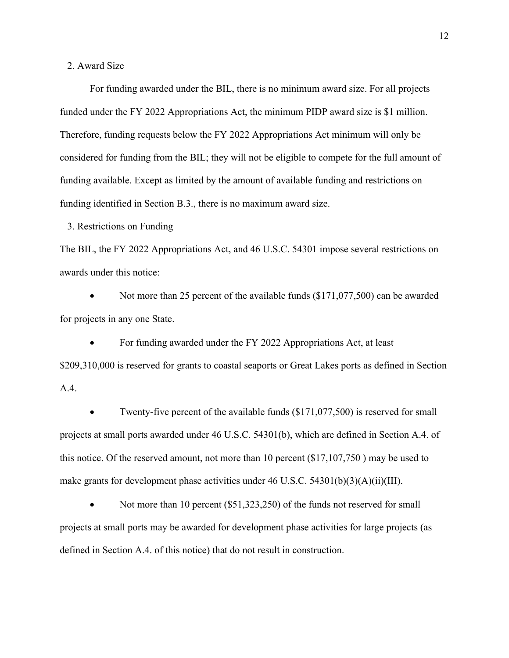2. Award Size

For funding awarded under the BIL, there is no minimum award size. For all projects funded under the FY 2022 Appropriations Act, the minimum PIDP award size is \$1 million. Therefore, funding requests below the FY 2022 Appropriations Act minimum will only be considered for funding from the BIL; they will not be eligible to compete for the full amount of funding available. Except as limited by the amount of available funding and restrictions on funding identified in Section B.3., there is no maximum award size.

3. Restrictions on Funding

The BIL, the FY 2022 Appropriations Act, and 46 U.S.C. 54301 impose several restrictions on awards under this notice:

Not more than 25 percent of the available funds (\$171,077,500) can be awarded for projects in any one State.

• For funding awarded under the FY 2022 Appropriations Act, at least \$209,310,000 is reserved for grants to coastal seaports or Great Lakes ports as defined in Section A.4.

• Twenty-five percent of the available funds (\$171,077,500) is reserved for small projects at small ports awarded under 46 U.S.C. 54301(b), which are defined in Section A.4. of this notice. Of the reserved amount, not more than 10 percent (\$17,107,750 ) may be used to make grants for development phase activities under  $46$  U.S.C.  $54301(b)(3)(A)(ii)(III)$ .

Not more than 10 percent (\$51,323,250) of the funds not reserved for small projects at small ports may be awarded for development phase activities for large projects (as defined in Section A.4. of this notice) that do not result in construction.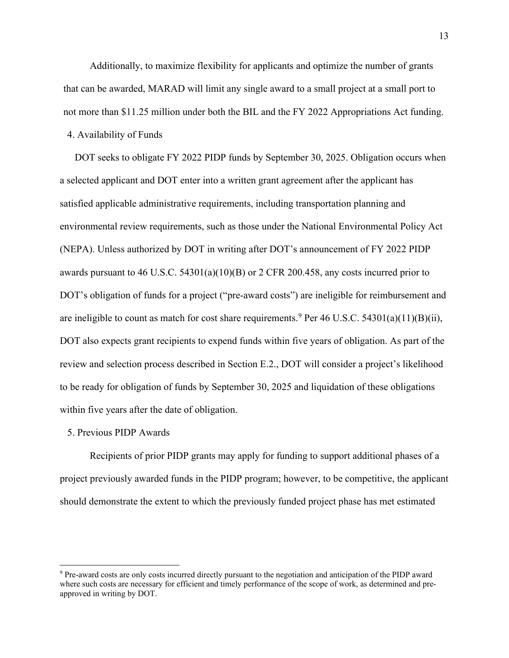Additionally, to maximize flexibility for applicants and optimize the number of grants that can be awarded, MARAD will limit any single award to a small project at a small port to not more than \$11.25 million under both the BIL and the FY 2022 Appropriations Act funding.

# 4. Availability of Funds

DOT seeks to obligate FY 2022 PIDP funds by September 30, 2025. Obligation occurs when a selected applicant and DOT enter into a written grant agreement after the applicant has satisfied applicable administrative requirements, including transportation planning and environmental review requirements, such as those under the National Environmental Policy Act (NEPA). Unless authorized by DOT in writing after DOT's announcement of FY 2022 PIDP awards pursuant to 46 U.S.C. 54301(a)(10)(B) or 2 CFR 200.458, any costs incurred prior to DOT's obligation of funds for a project ("pre-award costs") are ineligible for reimbursement and are ineligible to count as match for cost share requirements.<sup>[9](#page-12-0)</sup> Per 46 U.S.C. 54301(a)(11)(B)(ii), DOT also expects grant recipients to expend funds within five years of obligation. As part of the review and selection process described in Section E.2., DOT will consider a project's likelihood to be ready for obligation of funds by September 30, 2025 and liquidation of these obligations within five years after the date of obligation.

## 5. Previous PIDP Awards

Recipients of prior PIDP grants may apply for funding to support additional phases of a project previously awarded funds in the PIDP program; however, to be competitive, the applicant should demonstrate the extent to which the previously funded project phase has met estimated

<span id="page-12-0"></span><sup>9</sup> Pre-award costs are only costs incurred directly pursuant to the negotiation and anticipation of the PIDP award where such costs are necessary for efficient and timely performance of the scope of work, as determined and preapproved in writing by DOT.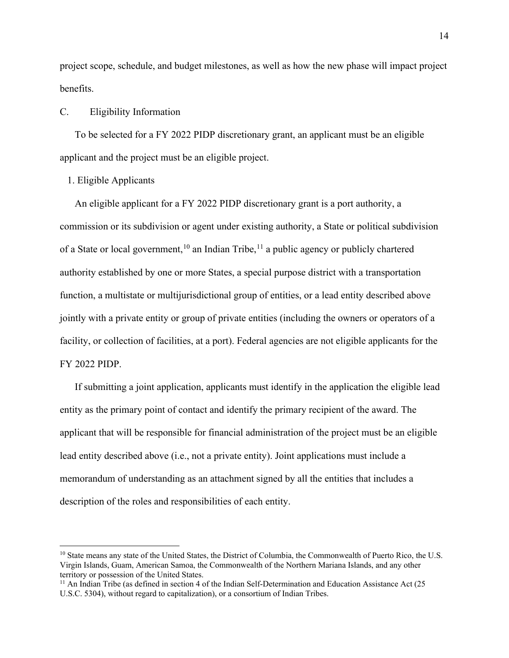project scope, schedule, and budget milestones, as well as how the new phase will impact project benefits.

## C. Eligibility Information

To be selected for a FY 2022 PIDP discretionary grant, an applicant must be an eligible applicant and the project must be an eligible project.

# 1. Eligible Applicants

An eligible applicant for a FY 2022 PIDP discretionary grant is a port authority, a commission or its subdivision or agent under existing authority, a State or political subdivision of a State or local government,<sup>[10](#page-13-0)</sup> an Indian Tribe,<sup>[11](#page-13-1)</sup> a public agency or publicly chartered authority established by one or more States, a special purpose district with a transportation function, a multistate or multijurisdictional group of entities, or a lead entity described above jointly with a private entity or group of private entities (including the owners or operators of a facility, or collection of facilities, at a port). Federal agencies are not eligible applicants for the FY 2022 PIDP.

If submitting a joint application, applicants must identify in the application the eligible lead entity as the primary point of contact and identify the primary recipient of the award. The applicant that will be responsible for financial administration of the project must be an eligible lead entity described above (i.e., not a private entity). Joint applications must include a memorandum of understanding as an attachment signed by all the entities that includes a description of the roles and responsibilities of each entity.

<span id="page-13-0"></span><sup>&</sup>lt;sup>10</sup> State means any state of the United States, the District of Columbia, the Commonwealth of Puerto Rico, the U.S. Virgin Islands, Guam, American Samoa, the Commonwealth of the Northern Mariana Islands, and any other territory or possession of the United States.

<span id="page-13-1"></span><sup>&</sup>lt;sup>11</sup> An Indian Tribe (as defined in section 4 of the Indian Self-Determination and Education Assistance Act (25 U.S.C. 5304), without regard to capitalization), or a consortium of Indian Tribes.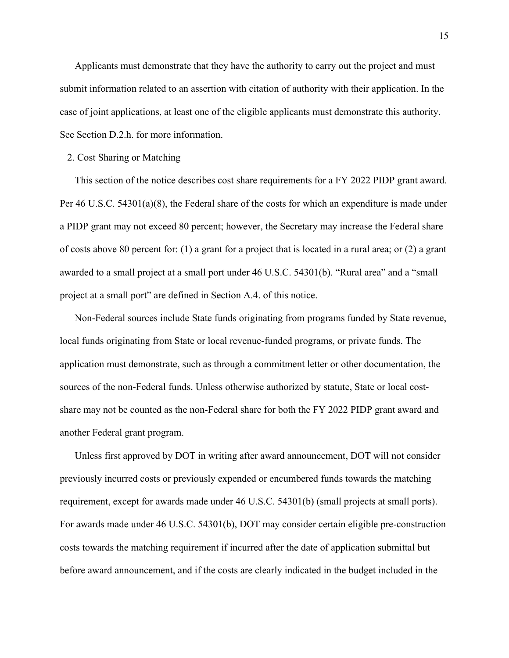Applicants must demonstrate that they have the authority to carry out the project and must submit information related to an assertion with citation of authority with their application. In the case of joint applications, at least one of the eligible applicants must demonstrate this authority. See Section D.2.h. for more information.

#### 2. Cost Sharing or Matching

This section of the notice describes cost share requirements for a FY 2022 PIDP grant award. Per 46 U.S.C. 54301(a)(8), the Federal share of the costs for which an expenditure is made under a PIDP grant may not exceed 80 percent; however, the Secretary may increase the Federal share of costs above 80 percent for: (1) a grant for a project that is located in a rural area; or (2) a grant awarded to a small project at a small port under 46 U.S.C. 54301(b). "Rural area" and a "small project at a small port" are defined in Section A.4. of this notice.

Non-Federal sources include State funds originating from programs funded by State revenue, local funds originating from State or local revenue-funded programs, or private funds. The application must demonstrate, such as through a commitment letter or other documentation, the sources of the non-Federal funds. Unless otherwise authorized by statute, State or local costshare may not be counted as the non-Federal share for both the FY 2022 PIDP grant award and another Federal grant program.

Unless first approved by DOT in writing after award announcement, DOT will not consider previously incurred costs or previously expended or encumbered funds towards the matching requirement, except for awards made under 46 U.S.C. 54301(b) (small projects at small ports). For awards made under 46 U.S.C. 54301(b), DOT may consider certain eligible pre-construction costs towards the matching requirement if incurred after the date of application submittal but before award announcement, and if the costs are clearly indicated in the budget included in the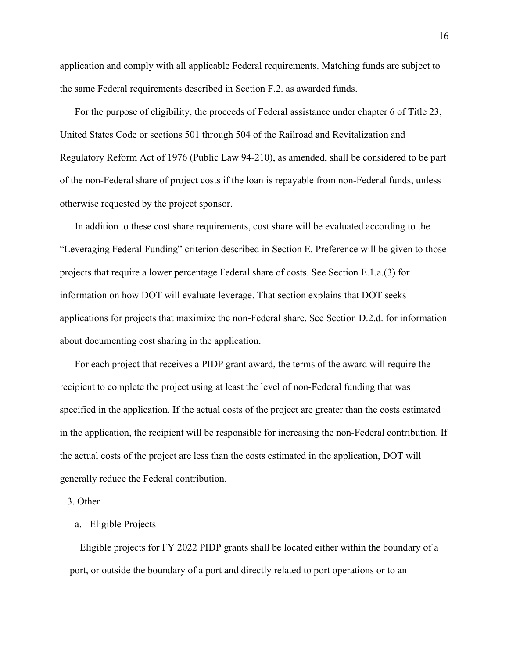application and comply with all applicable Federal requirements. Matching funds are subject to the same Federal requirements described in Section F.2. as awarded funds.

For the purpose of eligibility, the proceeds of Federal assistance under chapter 6 of Title 23, United States Code or sections 501 through 504 of the Railroad and Revitalization and Regulatory Reform Act of 1976 (Public Law 94-210), as amended, shall be considered to be part of the non-Federal share of project costs if the loan is repayable from non-Federal funds, unless otherwise requested by the project sponsor.

In addition to these cost share requirements, cost share will be evaluated according to the "Leveraging Federal Funding" criterion described in Section E. Preference will be given to those projects that require a lower percentage Federal share of costs. See Section E.1.a.(3) for information on how DOT will evaluate leverage. That section explains that DOT seeks applications for projects that maximize the non-Federal share. See Section D.2.d. for information about documenting cost sharing in the application.

For each project that receives a PIDP grant award, the terms of the award will require the recipient to complete the project using at least the level of non-Federal funding that was specified in the application. If the actual costs of the project are greater than the costs estimated in the application, the recipient will be responsible for increasing the non-Federal contribution. If the actual costs of the project are less than the costs estimated in the application, DOT will generally reduce the Federal contribution.

3. Other

# a. Eligible Projects

Eligible projects for FY 2022 PIDP grants shall be located either within the boundary of a port, or outside the boundary of a port and directly related to port operations or to an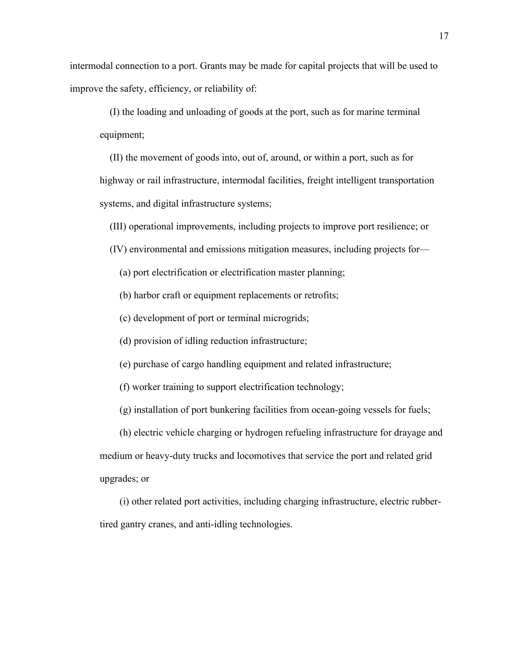intermodal connection to a port. Grants may be made for capital projects that will be used to improve the safety, efficiency, or reliability of:

(I) the loading and unloading of goods at the port, such as for marine terminal equipment;

(II) the movement of goods into, out of, around, or within a port, such as for highway or rail infrastructure, intermodal facilities, freight intelligent transportation systems, and digital infrastructure systems;

(III) operational improvements, including projects to improve port resilience; or

(IV) environmental and emissions mitigation measures, including projects for—

(a) port electrification or electrification master planning;

(b) harbor craft or equipment replacements or retrofits;

(c) development of port or terminal microgrids;

(d) provision of idling reduction infrastructure;

(e) purchase of cargo handling equipment and related infrastructure;

(f) worker training to support electrification technology;

(g) installation of port bunkering facilities from ocean-going vessels for fuels;

(h) electric vehicle charging or hydrogen refueling infrastructure for drayage and medium or heavy-duty trucks and locomotives that service the port and related grid upgrades; or

(i) other related port activities, including charging infrastructure, electric rubbertired gantry cranes, and anti-idling technologies.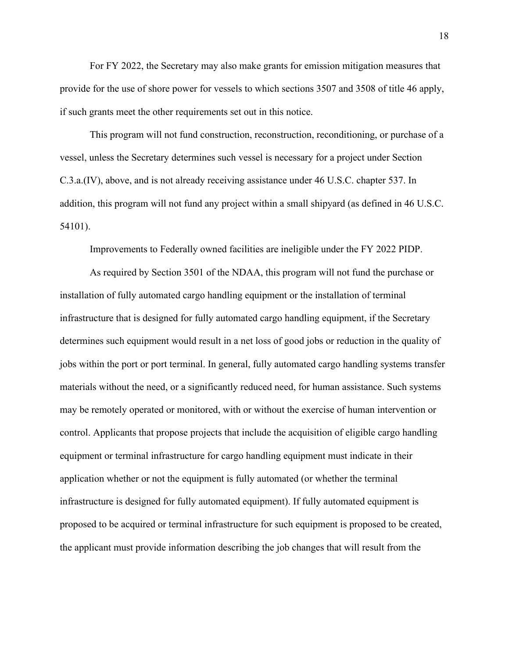For FY 2022, the Secretary may also make grants for emission mitigation measures that provide for the use of shore power for vessels to which sections 3507 and 3508 of title 46 apply, if such grants meet the other requirements set out in this notice.

This program will not fund construction, reconstruction, reconditioning, or purchase of a vessel, unless the Secretary determines such vessel is necessary for a project under Section C.3.a.(IV), above, and is not already receiving assistance under 46 U.S.C. chapter 537. In addition, this program will not fund any project within a small shipyard (as defined in 46 U.S.C. 54101).

Improvements to Federally owned facilities are ineligible under the FY 2022 PIDP.

As required by Section 3501 of the NDAA, this program will not fund the purchase or installation of fully automated cargo handling equipment or the installation of terminal infrastructure that is designed for fully automated cargo handling equipment, if the Secretary determines such equipment would result in a net loss of good jobs or reduction in the quality of jobs within the port or port terminal. In general, fully automated cargo handling systems transfer materials without the need, or a significantly reduced need, for human assistance. Such systems may be remotely operated or monitored, with or without the exercise of human intervention or control. Applicants that propose projects that include the acquisition of eligible cargo handling equipment or terminal infrastructure for cargo handling equipment must indicate in their application whether or not the equipment is fully automated (or whether the terminal infrastructure is designed for fully automated equipment). If fully automated equipment is proposed to be acquired or terminal infrastructure for such equipment is proposed to be created, the applicant must provide information describing the job changes that will result from the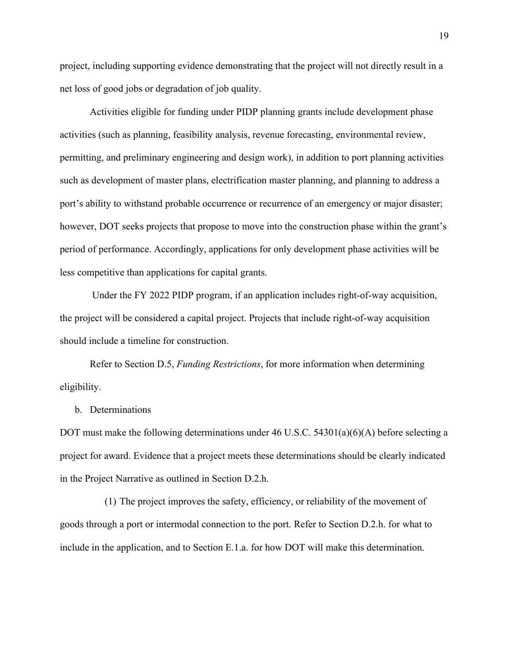project, including supporting evidence demonstrating that the project will not directly result in a net loss of good jobs or degradation of job quality.

Activities eligible for funding under PIDP planning grants include development phase activities (such as planning, feasibility analysis, revenue forecasting, environmental review, permitting, and preliminary engineering and design work), in addition to port planning activities such as development of master plans, electrification master planning, and planning to address a port's ability to withstand probable occurrence or recurrence of an emergency or major disaster; however, DOT seeks projects that propose to move into the construction phase within the grant's period of performance. Accordingly, applications for only development phase activities will be less competitive than applications for capital grants.

Under the FY 2022 PIDP program, if an application includes right-of-way acquisition, the project will be considered a capital project. Projects that include right-of-way acquisition should include a timeline for construction.

Refer to Section D.5, *Funding Restrictions*, for more information when determining eligibility.

### b. Determinations

DOT must make the following determinations under 46 U.S.C. 54301(a)(6)(A) before selecting a project for award. Evidence that a project meets these determinations should be clearly indicated in the Project Narrative as outlined in Section D.2.h.

(1) The project improves the safety, efficiency, or reliability of the movement of goods through a port or intermodal connection to the port. Refer to Section D.2.h. for what to include in the application, and to Section E.1.a. for how DOT will make this determination.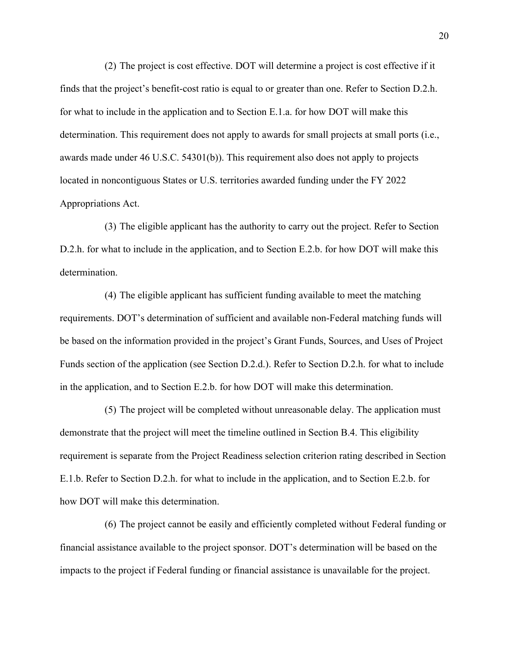(2) The project is cost effective. DOT will determine a project is cost effective if it finds that the project's benefit-cost ratio is equal to or greater than one. Refer to Section D.2.h. for what to include in the application and to Section E.1.a. for how DOT will make this determination. This requirement does not apply to awards for small projects at small ports (i.e., awards made under 46 U.S.C. 54301(b)). This requirement also does not apply to projects located in noncontiguous States or U.S. territories awarded funding under the FY 2022 Appropriations Act.

(3) The eligible applicant has the authority to carry out the project. Refer to Section D.2.h. for what to include in the application, and to Section E.2.b. for how DOT will make this determination.

(4) The eligible applicant has sufficient funding available to meet the matching requirements. DOT's determination of sufficient and available non-Federal matching funds will be based on the information provided in the project's Grant Funds, Sources, and Uses of Project Funds section of the application (see Section D.2.d.). Refer to Section D.2.h. for what to include in the application, and to Section E.2.b. for how DOT will make this determination.

(5) The project will be completed without unreasonable delay. The application must demonstrate that the project will meet the timeline outlined in Section B.4. This eligibility requirement is separate from the Project Readiness selection criterion rating described in Section E.1.b. Refer to Section D.2.h. for what to include in the application, and to Section E.2.b. for how DOT will make this determination.

(6) The project cannot be easily and efficiently completed without Federal funding or financial assistance available to the project sponsor. DOT's determination will be based on the impacts to the project if Federal funding or financial assistance is unavailable for the project.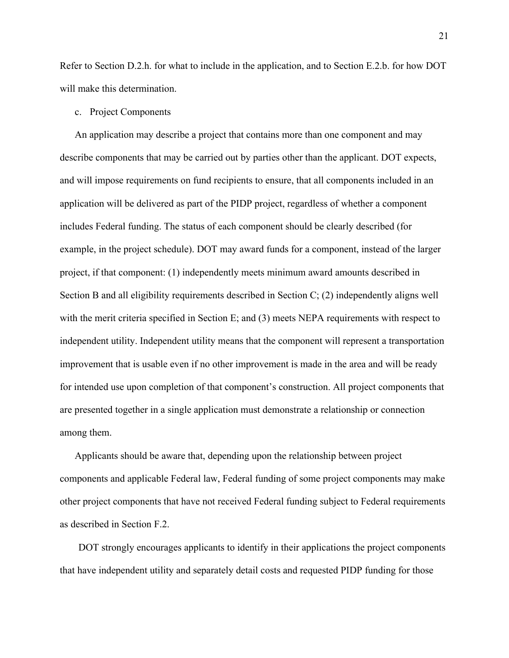Refer to Section D.2.h. for what to include in the application, and to Section E.2.b. for how DOT will make this determination.

#### c. Project Components

An application may describe a project that contains more than one component and may describe components that may be carried out by parties other than the applicant. DOT expects, and will impose requirements on fund recipients to ensure, that all components included in an application will be delivered as part of the PIDP project, regardless of whether a component includes Federal funding. The status of each component should be clearly described (for example, in the project schedule). DOT may award funds for a component, instead of the larger project, if that component: (1) independently meets minimum award amounts described in Section B and all eligibility requirements described in Section C; (2) independently aligns well with the merit criteria specified in Section E; and (3) meets NEPA requirements with respect to independent utility. Independent utility means that the component will represent a transportation improvement that is usable even if no other improvement is made in the area and will be ready for intended use upon completion of that component's construction. All project components that are presented together in a single application must demonstrate a relationship or connection among them.

Applicants should be aware that, depending upon the relationship between project components and applicable Federal law, Federal funding of some project components may make other project components that have not received Federal funding subject to Federal requirements as described in Section F.2.

DOT strongly encourages applicants to identify in their applications the project components that have independent utility and separately detail costs and requested PIDP funding for those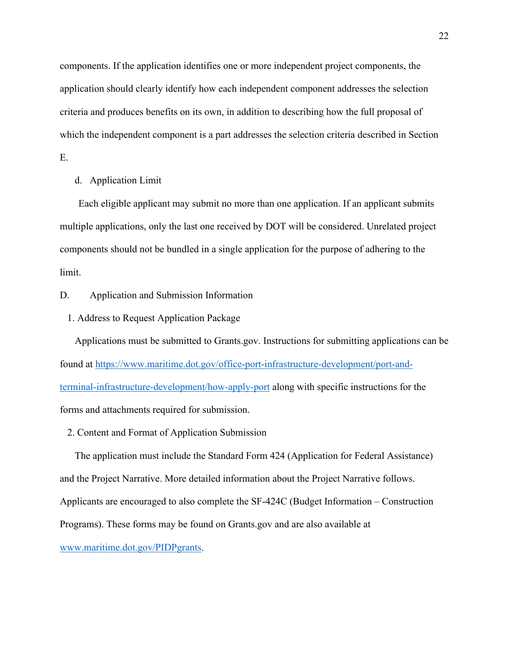components. If the application identifies one or more independent project components, the application should clearly identify how each independent component addresses the selection criteria and produces benefits on its own, in addition to describing how the full proposal of which the independent component is a part addresses the selection criteria described in Section E.

# d. Application Limit

Each eligible applicant may submit no more than one application. If an applicant submits multiple applications, only the last one received by DOT will be considered. Unrelated project components should not be bundled in a single application for the purpose of adhering to the limit.

# D. Application and Submission Information

1. Address to Request Application Package

Applications must be submitted to Grants.gov. Instructions for submitting applications can be found at [https://www.maritime.dot.gov/office-port-infrastructure-development/port-and](https://www.maritime.dot.gov/office-port-infrastructure-development/port-and-terminal-infrastructure-development/how-apply-port)[terminal-infrastructure-development/how-apply-port](https://www.maritime.dot.gov/office-port-infrastructure-development/port-and-terminal-infrastructure-development/how-apply-port) along with specific instructions for the forms and attachments required for submission.

2. Content and Format of Application Submission

The application must include the Standard Form 424 (Application for Federal Assistance) and the Project Narrative. More detailed information about the Project Narrative follows. Applicants are encouraged to also complete the SF-424C (Budget Information – Construction Programs). These forms may be found on Grants.gov and are also available at [www.maritime.dot.gov/PIDPgrants.](http://www.maritime.dot.gov/PIDPgrants)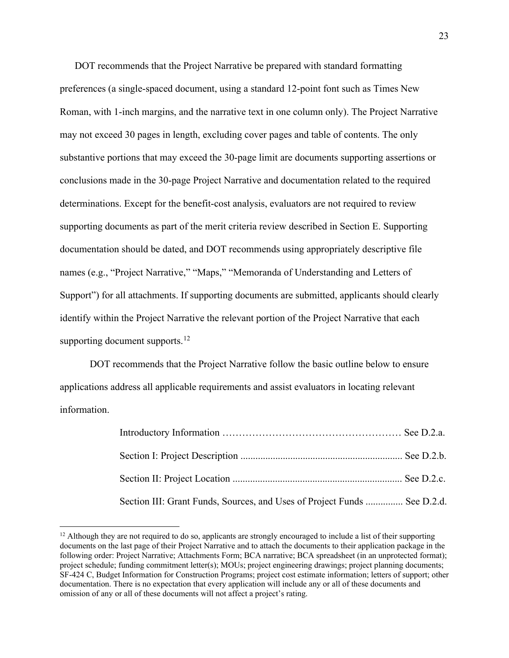DOT recommends that the Project Narrative be prepared with standard formatting preferences (a single-spaced document, using a standard 12-point font such as Times New Roman, with 1-inch margins, and the narrative text in one column only). The Project Narrative may not exceed 30 pages in length, excluding cover pages and table of contents. The only substantive portions that may exceed the 30-page limit are documents supporting assertions or conclusions made in the 30-page Project Narrative and documentation related to the required determinations. Except for the benefit-cost analysis, evaluators are not required to review supporting documents as part of the merit criteria review described in Section E. Supporting documentation should be dated, and DOT recommends using appropriately descriptive file names (e.g., "Project Narrative," "Maps," "Memoranda of Understanding and Letters of Support") for all attachments. If supporting documents are submitted, applicants should clearly identify within the Project Narrative the relevant portion of the Project Narrative that each supporting document supports.<sup>[12](#page-22-0)</sup>

DOT recommends that the Project Narrative follow the basic outline below to ensure applications address all applicable requirements and assist evaluators in locating relevant information.

| Section III: Grant Funds, Sources, and Uses of Project Funds  See D.2.d. |  |
|--------------------------------------------------------------------------|--|

<span id="page-22-0"></span> $12$  Although they are not required to do so, applicants are strongly encouraged to include a list of their supporting documents on the last page of their Project Narrative and to attach the documents to their application package in the following order: Project Narrative; Attachments Form; BCA narrative; BCA spreadsheet (in an unprotected format); project schedule; funding commitment letter(s); MOUs; project engineering drawings; project planning documents; SF-424 C, Budget Information for Construction Programs; project cost estimate information; letters of support; other documentation. There is no expectation that every application will include any or all of these documents and omission of any or all of these documents will not affect a project's rating.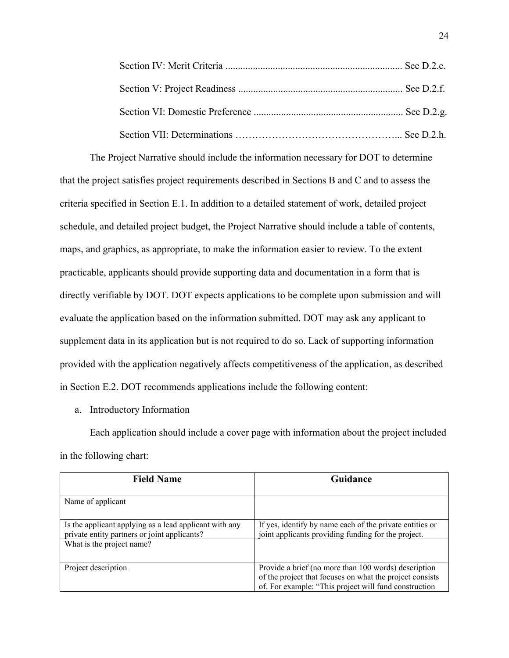The Project Narrative should include the information necessary for DOT to determine that the project satisfies project requirements described in Sections B and C and to assess the criteria specified in Section E.1. In addition to a detailed statement of work, detailed project schedule, and detailed project budget, the Project Narrative should include a table of contents, maps, and graphics, as appropriate, to make the information easier to review. To the extent practicable, applicants should provide supporting data and documentation in a form that is directly verifiable by DOT. DOT expects applications to be complete upon submission and will evaluate the application based on the information submitted. DOT may ask any applicant to supplement data in its application but is not required to do so. Lack of supporting information provided with the application negatively affects competitiveness of the application, as described in Section E.2. DOT recommends applications include the following content:

a. Introductory Information

Each application should include a cover page with information about the project included in the following chart:

| <b>Field Name</b>                                                                                                                   | Guidance                                                                                                                                                                  |
|-------------------------------------------------------------------------------------------------------------------------------------|---------------------------------------------------------------------------------------------------------------------------------------------------------------------------|
| Name of applicant                                                                                                                   |                                                                                                                                                                           |
| Is the applicant applying as a lead applicant with any<br>private entity partners or joint applicants?<br>What is the project name? | If yes, identify by name each of the private entities or<br>joint applicants providing funding for the project.                                                           |
|                                                                                                                                     |                                                                                                                                                                           |
| Project description                                                                                                                 | Provide a brief (no more than 100 words) description<br>of the project that focuses on what the project consists<br>of. For example: "This project will fund construction |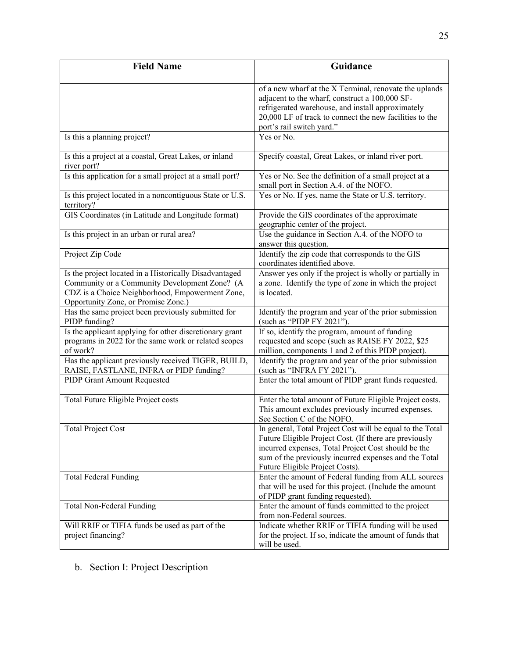| <b>Field Name</b>                                                                                                                                                                                 | Guidance                                                                                                                                                                                                                                                               |
|---------------------------------------------------------------------------------------------------------------------------------------------------------------------------------------------------|------------------------------------------------------------------------------------------------------------------------------------------------------------------------------------------------------------------------------------------------------------------------|
|                                                                                                                                                                                                   | of a new wharf at the X Terminal, renovate the uplands<br>adjacent to the wharf, construct a 100,000 SF-<br>refrigerated warehouse, and install approximately<br>20,000 LF of track to connect the new facilities to the<br>port's rail switch yard."                  |
| Is this a planning project?                                                                                                                                                                       | Yes or No.                                                                                                                                                                                                                                                             |
| Is this a project at a coastal, Great Lakes, or inland<br>river port?                                                                                                                             | Specify coastal, Great Lakes, or inland river port.                                                                                                                                                                                                                    |
| Is this application for a small project at a small port?                                                                                                                                          | Yes or No. See the definition of a small project at a<br>small port in Section A.4. of the NOFO.                                                                                                                                                                       |
| Is this project located in a noncontiguous State or U.S.<br>territory?                                                                                                                            | Yes or No. If yes, name the State or U.S. territory.                                                                                                                                                                                                                   |
| GIS Coordinates (in Latitude and Longitude format)                                                                                                                                                | Provide the GIS coordinates of the approximate<br>geographic center of the project.                                                                                                                                                                                    |
| Is this project in an urban or rural area?                                                                                                                                                        | Use the guidance in Section A.4. of the NOFO to<br>answer this question.                                                                                                                                                                                               |
| Project Zip Code                                                                                                                                                                                  | Identify the zip code that corresponds to the GIS<br>coordinates identified above.                                                                                                                                                                                     |
| Is the project located in a Historically Disadvantaged<br>Community or a Community Development Zone? (A<br>CDZ is a Choice Neighborhood, Empowerment Zone,<br>Opportunity Zone, or Promise Zone.) | Answer yes only if the project is wholly or partially in<br>a zone. Identify the type of zone in which the project<br>is located.                                                                                                                                      |
| Has the same project been previously submitted for<br>PIDP funding?                                                                                                                               | Identify the program and year of the prior submission<br>(such as "PIDP FY 2021").                                                                                                                                                                                     |
| Is the applicant applying for other discretionary grant<br>programs in 2022 for the same work or related scopes<br>of work?                                                                       | If so, identify the program, amount of funding<br>requested and scope (such as RAISE FY 2022, \$25<br>million, components 1 and 2 of this PIDP project).                                                                                                               |
| Has the applicant previously received TIGER, BUILD,<br>RAISE, FASTLANE, INFRA or PIDP funding?                                                                                                    | Identify the program and year of the prior submission<br>(such as "INFRA FY 2021").                                                                                                                                                                                    |
| PIDP Grant Amount Requested                                                                                                                                                                       | Enter the total amount of PIDP grant funds requested.                                                                                                                                                                                                                  |
| Total Future Eligible Project costs                                                                                                                                                               | Enter the total amount of Future Eligible Project costs.<br>This amount excludes previously incurred expenses.<br>See Section C of the NOFO.                                                                                                                           |
| <b>Total Project Cost</b>                                                                                                                                                                         | In general, Total Project Cost will be equal to the Total<br>Future Eligible Project Cost. (If there are previously<br>incurred expenses, Total Project Cost should be the<br>sum of the previously incurred expenses and the Total<br>Future Eligible Project Costs). |
| <b>Total Federal Funding</b>                                                                                                                                                                      | Enter the amount of Federal funding from ALL sources<br>that will be used for this project. (Include the amount<br>of PIDP grant funding requested).                                                                                                                   |
| Total Non-Federal Funding                                                                                                                                                                         | Enter the amount of funds committed to the project<br>from non-Federal sources.                                                                                                                                                                                        |
| Will RRIF or TIFIA funds be used as part of the<br>project financing?                                                                                                                             | Indicate whether RRIF or TIFIA funding will be used<br>for the project. If so, indicate the amount of funds that<br>will be used.                                                                                                                                      |

b. Section I: Project Description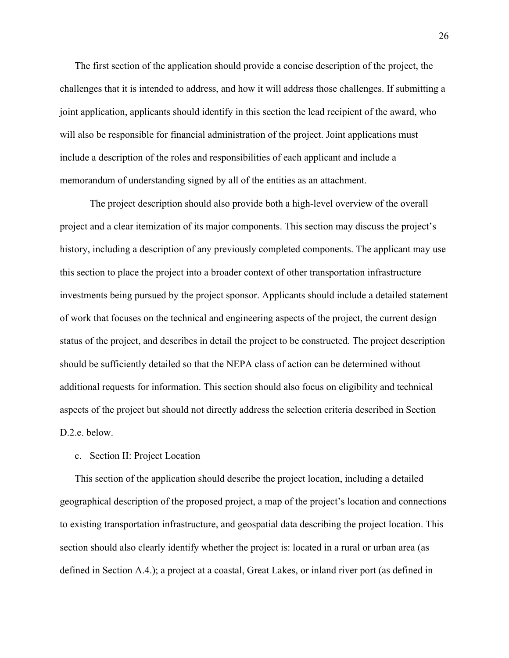The first section of the application should provide a concise description of the project, the challenges that it is intended to address, and how it will address those challenges. If submitting a joint application, applicants should identify in this section the lead recipient of the award, who will also be responsible for financial administration of the project. Joint applications must include a description of the roles and responsibilities of each applicant and include a memorandum of understanding signed by all of the entities as an attachment.

The project description should also provide both a high-level overview of the overall project and a clear itemization of its major components. This section may discuss the project's history, including a description of any previously completed components. The applicant may use this section to place the project into a broader context of other transportation infrastructure investments being pursued by the project sponsor. Applicants should include a detailed statement of work that focuses on the technical and engineering aspects of the project, the current design status of the project, and describes in detail the project to be constructed. The project description should be sufficiently detailed so that the NEPA class of action can be determined without additional requests for information. This section should also focus on eligibility and technical aspects of the project but should not directly address the selection criteria described in Section D.2.e. below.

#### c. Section II: Project Location

This section of the application should describe the project location, including a detailed geographical description of the proposed project, a map of the project's location and connections to existing transportation infrastructure, and geospatial data describing the project location. This section should also clearly identify whether the project is: located in a rural or urban area (as defined in Section A.4.); a project at a coastal, Great Lakes, or inland river port (as defined in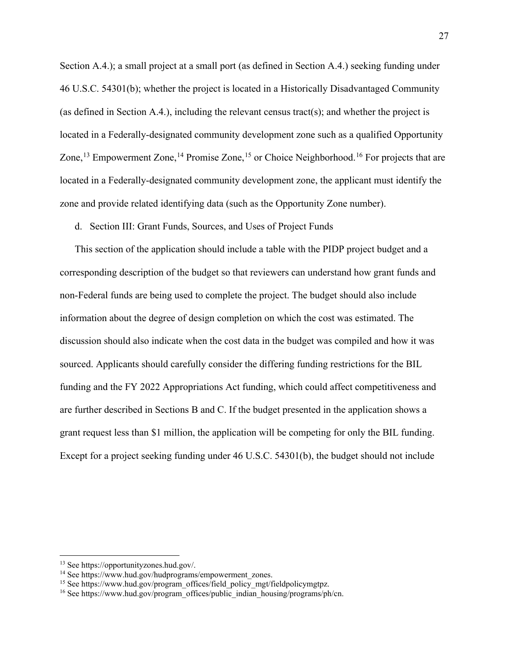Section A.4.); a small project at a small port (as defined in Section A.4.) seeking funding under 46 U.S.C. 54301(b); whether the project is located in a Historically Disadvantaged Community (as defined in Section A.4.), including the relevant census tract(s); and whether the project is located in a Federally-designated community development zone such as a qualified Opportunity Zone,<sup>[13](#page-26-0)</sup> Empowerment Zone,<sup>[14](#page-26-1)</sup> Promise Zone,<sup>[15](#page-26-2)</sup> or Choice Neighborhood.<sup>[16](#page-26-3)</sup> For projects that are located in a Federally-designated community development zone, the applicant must identify the zone and provide related identifying data (such as the Opportunity Zone number).

d. Section III: Grant Funds, Sources, and Uses of Project Funds

This section of the application should include a table with the PIDP project budget and a corresponding description of the budget so that reviewers can understand how grant funds and non-Federal funds are being used to complete the project. The budget should also include information about the degree of design completion on which the cost was estimated. The discussion should also indicate when the cost data in the budget was compiled and how it was sourced. Applicants should carefully consider the differing funding restrictions for the BIL funding and the FY 2022 Appropriations Act funding, which could affect competitiveness and are further described in Sections B and C. If the budget presented in the application shows a grant request less than \$1 million, the application will be competing for only the BIL funding. Except for a project seeking funding under 46 U.S.C. 54301(b), the budget should not include

<span id="page-26-0"></span><sup>13</sup> See https://opportunityzones.hud.gov/.

<span id="page-26-1"></span><sup>&</sup>lt;sup>14</sup> See https://www.hud.gov/hudprograms/empowerment\_zones.

<span id="page-26-2"></span><sup>&</sup>lt;sup>15</sup> See https://www.hud.gov/program\_offices/field\_policy\_mgt/fieldpolicymgtpz.

<span id="page-26-3"></span><sup>&</sup>lt;sup>16</sup> See https://www.hud.gov/program\_offices/public\_indian\_housing/programs/ph/cn.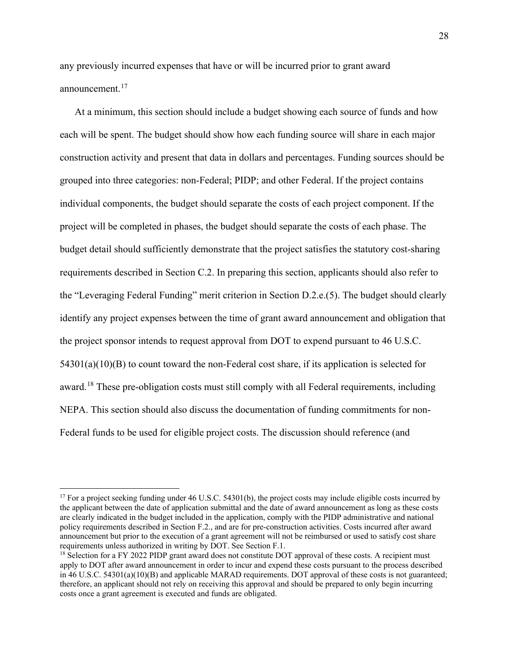any previously incurred expenses that have or will be incurred prior to grant award announcement.[17](#page-27-0)

At a minimum, this section should include a budget showing each source of funds and how each will be spent. The budget should show how each funding source will share in each major construction activity and present that data in dollars and percentages. Funding sources should be grouped into three categories: non-Federal; PIDP; and other Federal. If the project contains individual components, the budget should separate the costs of each project component. If the project will be completed in phases, the budget should separate the costs of each phase. The budget detail should sufficiently demonstrate that the project satisfies the statutory cost-sharing requirements described in Section C.2. In preparing this section, applicants should also refer to the "Leveraging Federal Funding" merit criterion in Section D.2.e.(5). The budget should clearly identify any project expenses between the time of grant award announcement and obligation that the project sponsor intends to request approval from DOT to expend pursuant to 46 U.S.C.  $54301(a)(10)(B)$  to count toward the non-Federal cost share, if its application is selected for award.<sup>[18](#page-27-1)</sup> These pre-obligation costs must still comply with all Federal requirements, including NEPA. This section should also discuss the documentation of funding commitments for non-Federal funds to be used for eligible project costs. The discussion should reference (and

<span id="page-27-0"></span> $17$  For a project seeking funding under 46 U.S.C. 54301(b), the project costs may include eligible costs incurred by the applicant between the date of application submittal and the date of award announcement as long as these costs are clearly indicated in the budget included in the application, comply with the PIDP administrative and national policy requirements described in Section F.2., and are for pre-construction activities. Costs incurred after award announcement but prior to the execution of a grant agreement will not be reimbursed or used to satisfy cost share requirements unless authorized in writing by DOT. See Section F.1.

<span id="page-27-1"></span><sup>&</sup>lt;sup>18</sup> Selection for a FY 2022 PIDP grant award does not constitute DOT approval of these costs. A recipient must apply to DOT after award announcement in order to incur and expend these costs pursuant to the process described in 46 U.S.C. 54301(a)(10)(B) and applicable MARAD requirements. DOT approval of these costs is not guaranteed; therefore, an applicant should not rely on receiving this approval and should be prepared to only begin incurring costs once a grant agreement is executed and funds are obligated.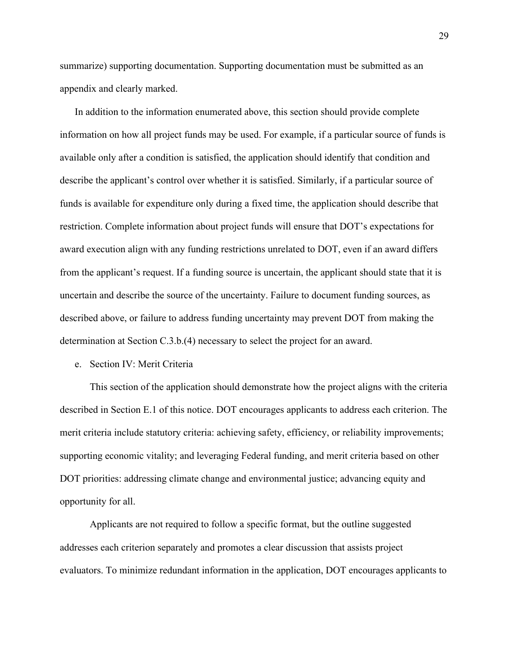summarize) supporting documentation. Supporting documentation must be submitted as an appendix and clearly marked.

In addition to the information enumerated above, this section should provide complete information on how all project funds may be used. For example, if a particular source of funds is available only after a condition is satisfied, the application should identify that condition and describe the applicant's control over whether it is satisfied. Similarly, if a particular source of funds is available for expenditure only during a fixed time, the application should describe that restriction. Complete information about project funds will ensure that DOT's expectations for award execution align with any funding restrictions unrelated to DOT, even if an award differs from the applicant's request. If a funding source is uncertain, the applicant should state that it is uncertain and describe the source of the uncertainty. Failure to document funding sources, as described above, or failure to address funding uncertainty may prevent DOT from making the determination at Section C.3.b.(4) necessary to select the project for an award.

e. Section IV: Merit Criteria

This section of the application should demonstrate how the project aligns with the criteria described in Section E.1 of this notice. DOT encourages applicants to address each criterion. The merit criteria include statutory criteria: achieving safety, efficiency, or reliability improvements; supporting economic vitality; and leveraging Federal funding, and merit criteria based on other DOT priorities: addressing climate change and environmental justice; advancing equity and opportunity for all.

Applicants are not required to follow a specific format, but the outline suggested addresses each criterion separately and promotes a clear discussion that assists project evaluators. To minimize redundant information in the application, DOT encourages applicants to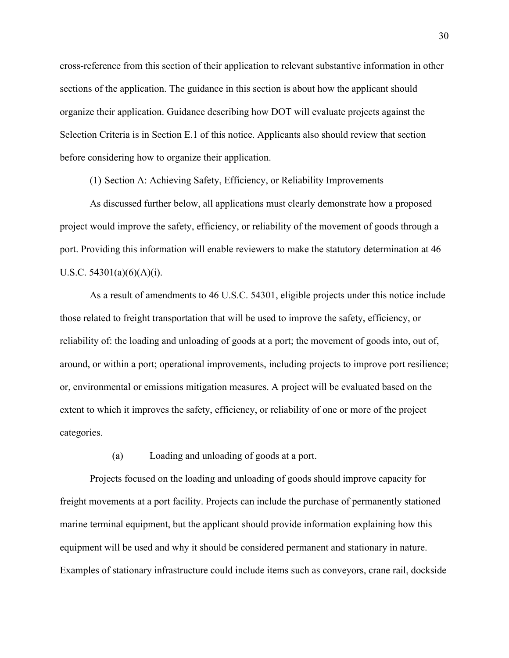cross-reference from this section of their application to relevant substantive information in other sections of the application. The guidance in this section is about how the applicant should organize their application. Guidance describing how DOT will evaluate projects against the Selection Criteria is in Section E.1 of this notice. Applicants also should review that section before considering how to organize their application.

(1) Section A: Achieving Safety, Efficiency, or Reliability Improvements

As discussed further below, all applications must clearly demonstrate how a proposed project would improve the safety, efficiency, or reliability of the movement of goods through a port. Providing this information will enable reviewers to make the statutory determination at 46 U.S.C.  $54301(a)(6)(A)(i)$ .

As a result of amendments to 46 U.S.C. 54301, eligible projects under this notice include those related to freight transportation that will be used to improve the safety, efficiency, or reliability of: the loading and unloading of goods at a port; the movement of goods into, out of, around, or within a port; operational improvements, including projects to improve port resilience; or, environmental or emissions mitigation measures. A project will be evaluated based on the extent to which it improves the safety, efficiency, or reliability of one or more of the project categories.

(a) Loading and unloading of goods at a port.

Projects focused on the loading and unloading of goods should improve capacity for freight movements at a port facility. Projects can include the purchase of permanently stationed marine terminal equipment, but the applicant should provide information explaining how this equipment will be used and why it should be considered permanent and stationary in nature. Examples of stationary infrastructure could include items such as conveyors, crane rail, dockside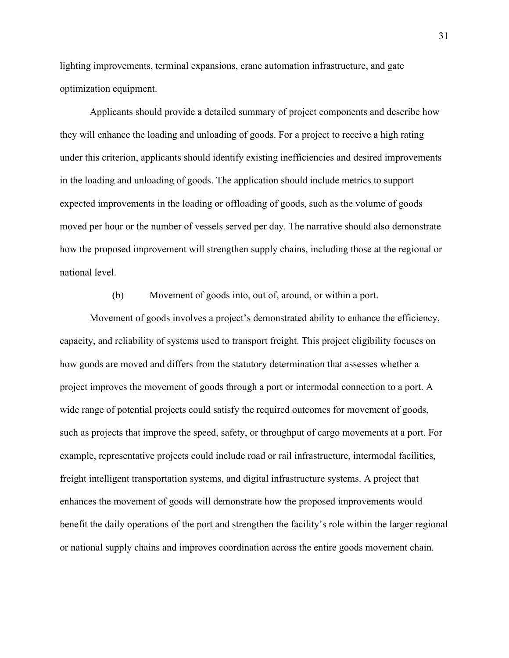lighting improvements, terminal expansions, crane automation infrastructure, and gate optimization equipment.

Applicants should provide a detailed summary of project components and describe how they will enhance the loading and unloading of goods. For a project to receive a high rating under this criterion, applicants should identify existing inefficiencies and desired improvements in the loading and unloading of goods. The application should include metrics to support expected improvements in the loading or offloading of goods, such as the volume of goods moved per hour or the number of vessels served per day. The narrative should also demonstrate how the proposed improvement will strengthen supply chains, including those at the regional or national level.

(b) Movement of goods into, out of, around, or within a port.

Movement of goods involves a project's demonstrated ability to enhance the efficiency, capacity, and reliability of systems used to transport freight. This project eligibility focuses on how goods are moved and differs from the statutory determination that assesses whether a project improves the movement of goods through a port or intermodal connection to a port. A wide range of potential projects could satisfy the required outcomes for movement of goods, such as projects that improve the speed, safety, or throughput of cargo movements at a port. For example, representative projects could include road or rail infrastructure, intermodal facilities, freight intelligent transportation systems, and digital infrastructure systems. A project that enhances the movement of goods will demonstrate how the proposed improvements would benefit the daily operations of the port and strengthen the facility's role within the larger regional or national supply chains and improves coordination across the entire goods movement chain.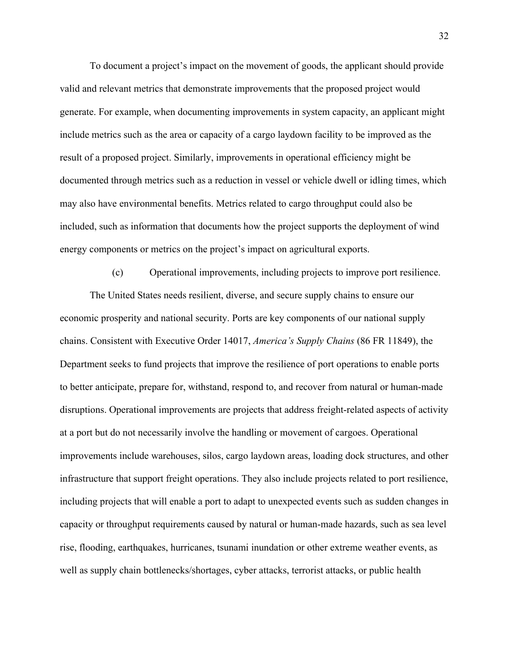To document a project's impact on the movement of goods, the applicant should provide valid and relevant metrics that demonstrate improvements that the proposed project would generate. For example, when documenting improvements in system capacity, an applicant might include metrics such as the area or capacity of a cargo laydown facility to be improved as the result of a proposed project. Similarly, improvements in operational efficiency might be documented through metrics such as a reduction in vessel or vehicle dwell or idling times, which may also have environmental benefits. Metrics related to cargo throughput could also be included, such as information that documents how the project supports the deployment of wind energy components or metrics on the project's impact on agricultural exports.

(c) Operational improvements, including projects to improve port resilience. The United States needs resilient, diverse, and secure supply chains to ensure our economic prosperity and national security. Ports are key components of our national supply chains. Consistent with Executive Order 14017, *America's Supply Chains* (86 FR 11849), the Department seeks to fund projects that improve the resilience of port operations to enable ports to better anticipate, prepare for, withstand, respond to, and recover from natural or human-made disruptions. Operational improvements are projects that address freight-related aspects of activity at a port but do not necessarily involve the handling or movement of cargoes. Operational improvements include warehouses, silos, cargo laydown areas, loading dock structures, and other infrastructure that support freight operations. They also include projects related to port resilience, including projects that will enable a port to adapt to unexpected events such as sudden changes in capacity or throughput requirements caused by natural or human-made hazards, such as sea level rise, flooding, earthquakes, hurricanes, tsunami inundation or other extreme weather events, as well as supply chain bottlenecks/shortages, cyber attacks, terrorist attacks, or public health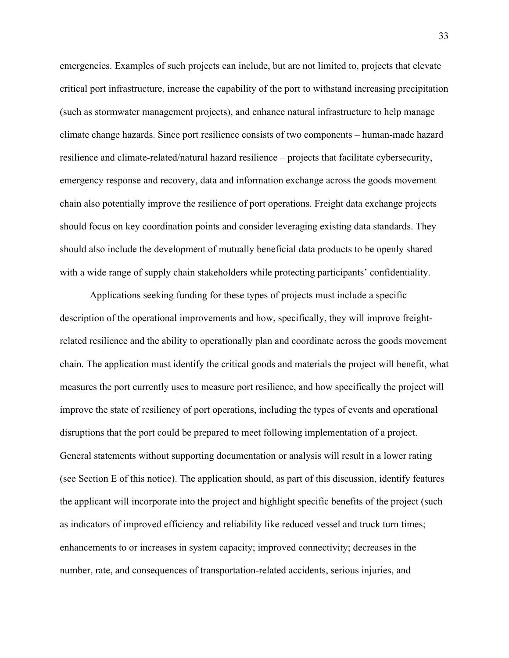emergencies. Examples of such projects can include, but are not limited to, projects that elevate critical port infrastructure, increase the capability of the port to withstand increasing precipitation (such as stormwater management projects), and enhance natural infrastructure to help manage climate change hazards. Since port resilience consists of two components – human-made hazard resilience and climate-related/natural hazard resilience – projects that facilitate cybersecurity, emergency response and recovery, data and information exchange across the goods movement chain also potentially improve the resilience of port operations. Freight data exchange projects should focus on key coordination points and consider leveraging existing data standards. They should also include the development of mutually beneficial data products to be openly shared with a wide range of supply chain stakeholders while protecting participants' confidentiality.

Applications seeking funding for these types of projects must include a specific description of the operational improvements and how, specifically, they will improve freightrelated resilience and the ability to operationally plan and coordinate across the goods movement chain. The application must identify the critical goods and materials the project will benefit, what measures the port currently uses to measure port resilience, and how specifically the project will improve the state of resiliency of port operations, including the types of events and operational disruptions that the port could be prepared to meet following implementation of a project. General statements without supporting documentation or analysis will result in a lower rating (see Section E of this notice). The application should, as part of this discussion, identify features the applicant will incorporate into the project and highlight specific benefits of the project (such as indicators of improved efficiency and reliability like reduced vessel and truck turn times; enhancements to or increases in system capacity; improved connectivity; decreases in the number, rate, and consequences of transportation-related accidents, serious injuries, and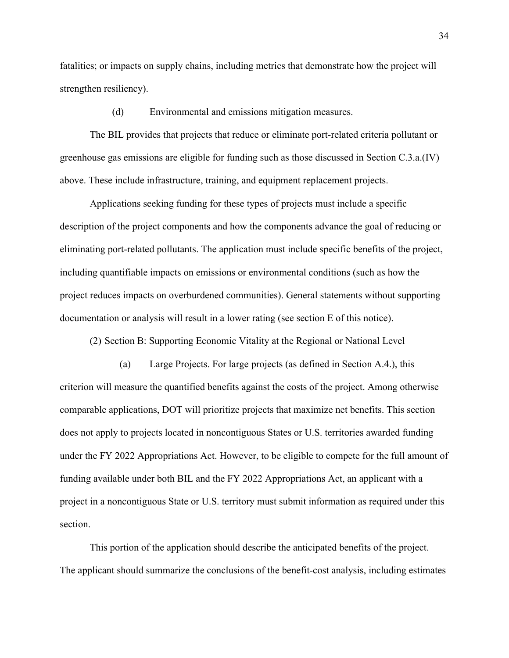fatalities; or impacts on supply chains, including metrics that demonstrate how the project will strengthen resiliency).

(d) Environmental and emissions mitigation measures.

The BIL provides that projects that reduce or eliminate port-related criteria pollutant or greenhouse gas emissions are eligible for funding such as those discussed in Section C.3.a.(IV) above. These include infrastructure, training, and equipment replacement projects.

Applications seeking funding for these types of projects must include a specific description of the project components and how the components advance the goal of reducing or eliminating port-related pollutants. The application must include specific benefits of the project, including quantifiable impacts on emissions or environmental conditions (such as how the project reduces impacts on overburdened communities). General statements without supporting documentation or analysis will result in a lower rating (see section E of this notice).

(2) Section B: Supporting Economic Vitality at the Regional or National Level

(a) Large Projects. For large projects (as defined in Section A.4.), this criterion will measure the quantified benefits against the costs of the project. Among otherwise comparable applications, DOT will prioritize projects that maximize net benefits. This section does not apply to projects located in noncontiguous States or U.S. territories awarded funding under the FY 2022 Appropriations Act. However, to be eligible to compete for the full amount of funding available under both BIL and the FY 2022 Appropriations Act, an applicant with a project in a noncontiguous State or U.S. territory must submit information as required under this section.

This portion of the application should describe the anticipated benefits of the project. The applicant should summarize the conclusions of the benefit-cost analysis, including estimates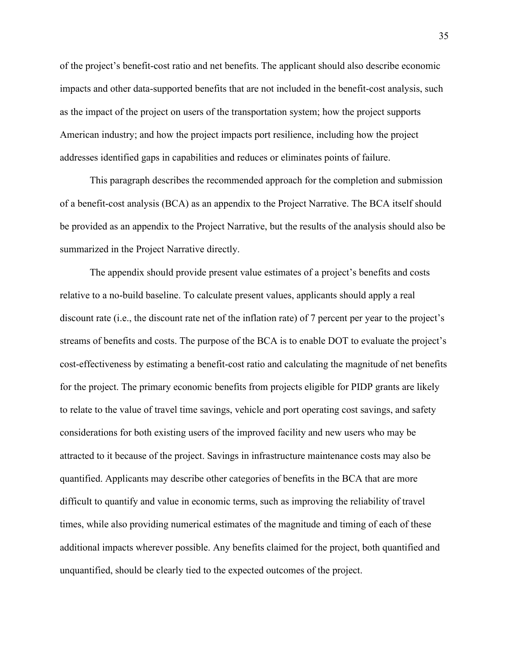of the project's benefit-cost ratio and net benefits. The applicant should also describe economic impacts and other data-supported benefits that are not included in the benefit-cost analysis, such as the impact of the project on users of the transportation system; how the project supports American industry; and how the project impacts port resilience, including how the project addresses identified gaps in capabilities and reduces or eliminates points of failure.

This paragraph describes the recommended approach for the completion and submission of a benefit-cost analysis (BCA) as an appendix to the Project Narrative. The BCA itself should be provided as an appendix to the Project Narrative, but the results of the analysis should also be summarized in the Project Narrative directly.

The appendix should provide present value estimates of a project's benefits and costs relative to a no-build baseline. To calculate present values, applicants should apply a real discount rate (i.e., the discount rate net of the inflation rate) of 7 percent per year to the project's streams of benefits and costs. The purpose of the BCA is to enable DOT to evaluate the project's cost-effectiveness by estimating a benefit-cost ratio and calculating the magnitude of net benefits for the project. The primary economic benefits from projects eligible for PIDP grants are likely to relate to the value of travel time savings, vehicle and port operating cost savings, and safety considerations for both existing users of the improved facility and new users who may be attracted to it because of the project. Savings in infrastructure maintenance costs may also be quantified. Applicants may describe other categories of benefits in the BCA that are more difficult to quantify and value in economic terms, such as improving the reliability of travel times, while also providing numerical estimates of the magnitude and timing of each of these additional impacts wherever possible. Any benefits claimed for the project, both quantified and unquantified, should be clearly tied to the expected outcomes of the project.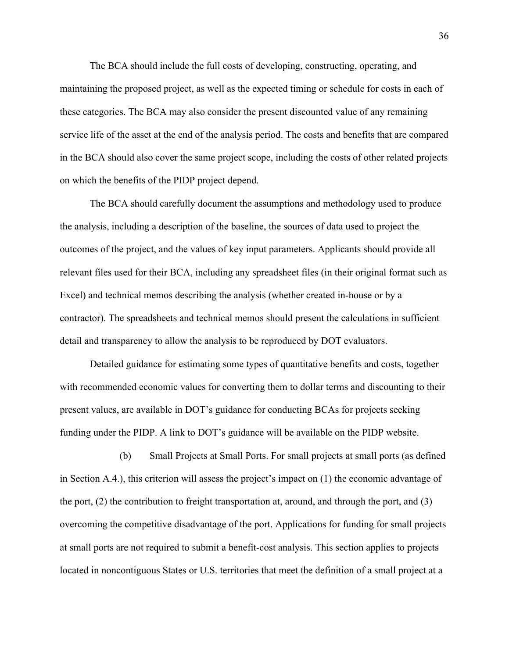The BCA should include the full costs of developing, constructing, operating, and maintaining the proposed project, as well as the expected timing or schedule for costs in each of these categories. The BCA may also consider the present discounted value of any remaining service life of the asset at the end of the analysis period. The costs and benefits that are compared in the BCA should also cover the same project scope, including the costs of other related projects on which the benefits of the PIDP project depend.

The BCA should carefully document the assumptions and methodology used to produce the analysis, including a description of the baseline, the sources of data used to project the outcomes of the project, and the values of key input parameters. Applicants should provide all relevant files used for their BCA, including any spreadsheet files (in their original format such as Excel) and technical memos describing the analysis (whether created in-house or by a contractor). The spreadsheets and technical memos should present the calculations in sufficient detail and transparency to allow the analysis to be reproduced by DOT evaluators.

Detailed guidance for estimating some types of quantitative benefits and costs, together with recommended economic values for converting them to dollar terms and discounting to their present values, are available in DOT's guidance for conducting BCAs for projects seeking funding under the PIDP. A link to DOT's guidance will be available on the PIDP website.

(b) Small Projects at Small Ports. For small projects at small ports (as defined in Section A.4.), this criterion will assess the project's impact on (1) the economic advantage of the port, (2) the contribution to freight transportation at, around, and through the port, and (3) overcoming the competitive disadvantage of the port. Applications for funding for small projects at small ports are not required to submit a benefit-cost analysis. This section applies to projects located in noncontiguous States or U.S. territories that meet the definition of a small project at a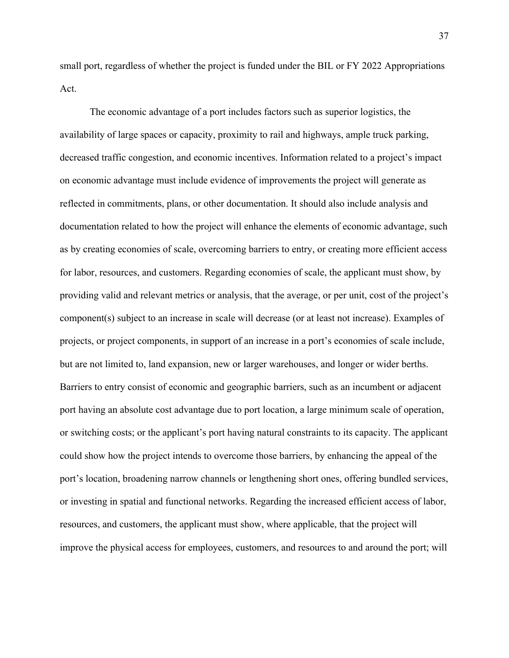small port, regardless of whether the project is funded under the BIL or FY 2022 Appropriations Act.

The economic advantage of a port includes factors such as superior logistics, the availability of large spaces or capacity, proximity to rail and highways, ample truck parking, decreased traffic congestion, and economic incentives. Information related to a project's impact on economic advantage must include evidence of improvements the project will generate as reflected in commitments, plans, or other documentation. It should also include analysis and documentation related to how the project will enhance the elements of economic advantage, such as by creating economies of scale, overcoming barriers to entry, or creating more efficient access for labor, resources, and customers. Regarding economies of scale, the applicant must show, by providing valid and relevant metrics or analysis, that the average, or per unit, cost of the project's component(s) subject to an increase in scale will decrease (or at least not increase). Examples of projects, or project components, in support of an increase in a port's economies of scale include, but are not limited to, land expansion, new or larger warehouses, and longer or wider berths. Barriers to entry consist of economic and geographic barriers, such as an incumbent or adjacent port having an absolute cost advantage due to port location, a large minimum scale of operation, or switching costs; or the applicant's port having natural constraints to its capacity. The applicant could show how the project intends to overcome those barriers, by enhancing the appeal of the port's location, broadening narrow channels or lengthening short ones, offering bundled services, or investing in spatial and functional networks. Regarding the increased efficient access of labor, resources, and customers, the applicant must show, where applicable, that the project will improve the physical access for employees, customers, and resources to and around the port; will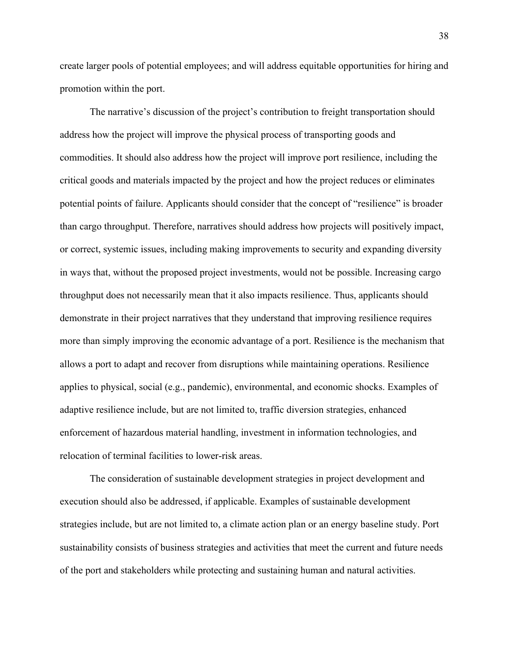create larger pools of potential employees; and will address equitable opportunities for hiring and promotion within the port.

The narrative's discussion of the project's contribution to freight transportation should address how the project will improve the physical process of transporting goods and commodities. It should also address how the project will improve port resilience, including the critical goods and materials impacted by the project and how the project reduces or eliminates potential points of failure. Applicants should consider that the concept of "resilience" is broader than cargo throughput. Therefore, narratives should address how projects will positively impact, or correct, systemic issues, including making improvements to security and expanding diversity in ways that, without the proposed project investments, would not be possible. Increasing cargo throughput does not necessarily mean that it also impacts resilience. Thus, applicants should demonstrate in their project narratives that they understand that improving resilience requires more than simply improving the economic advantage of a port. Resilience is the mechanism that allows a port to adapt and recover from disruptions while maintaining operations. Resilience applies to physical, social (e.g., pandemic), environmental, and economic shocks. Examples of adaptive resilience include, but are not limited to, traffic diversion strategies, enhanced enforcement of hazardous material handling, investment in information technologies, and relocation of terminal facilities to lower-risk areas.

The consideration of sustainable development strategies in project development and execution should also be addressed, if applicable. Examples of sustainable development strategies include, but are not limited to, a climate action plan or an energy baseline study. Port sustainability consists of business strategies and activities that meet the current and future needs of the port and stakeholders while protecting and sustaining human and natural activities.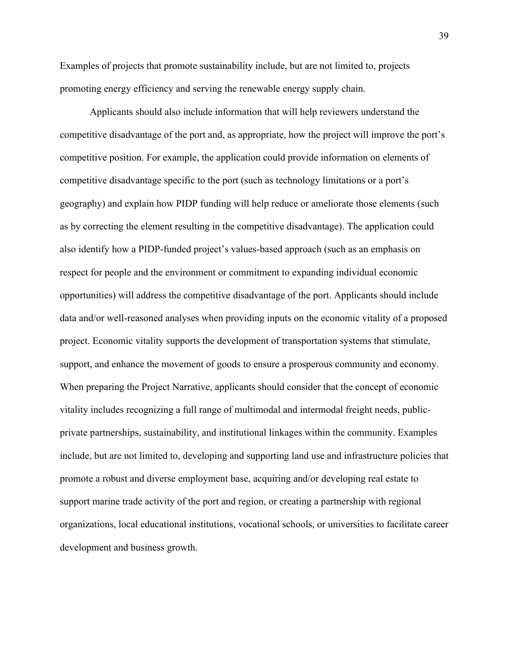Examples of projects that promote sustainability include, but are not limited to, projects promoting energy efficiency and serving the renewable energy supply chain.

Applicants should also include information that will help reviewers understand the competitive disadvantage of the port and, as appropriate, how the project will improve the port's competitive position. For example, the application could provide information on elements of competitive disadvantage specific to the port (such as technology limitations or a port's geography) and explain how PIDP funding will help reduce or ameliorate those elements (such as by correcting the element resulting in the competitive disadvantage). The application could also identify how a PIDP-funded project's values-based approach (such as an emphasis on respect for people and the environment or commitment to expanding individual economic opportunities) will address the competitive disadvantage of the port. Applicants should include data and/or well-reasoned analyses when providing inputs on the economic vitality of a proposed project. Economic vitality supports the development of transportation systems that stimulate, support, and enhance the movement of goods to ensure a prosperous community and economy. When preparing the Project Narrative, applicants should consider that the concept of economic vitality includes recognizing a full range of multimodal and intermodal freight needs, publicprivate partnerships, sustainability, and institutional linkages within the community. Examples include, but are not limited to, developing and supporting land use and infrastructure policies that promote a robust and diverse employment base, acquiring and/or developing real estate to support marine trade activity of the port and region, or creating a partnership with regional organizations, local educational institutions, vocational schools, or universities to facilitate career development and business growth.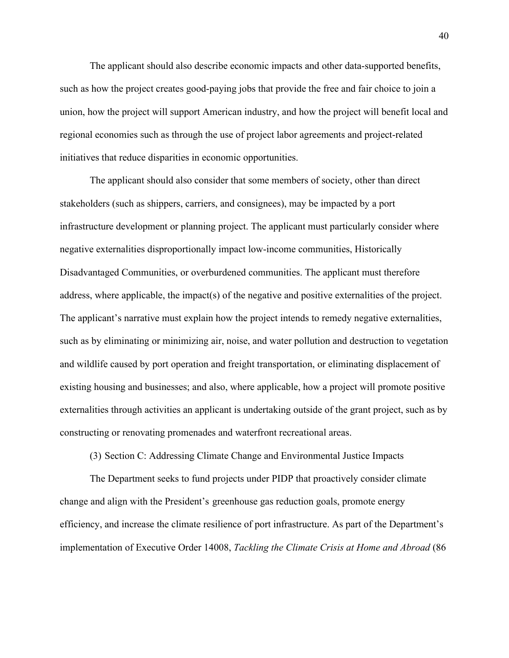The applicant should also describe economic impacts and other data-supported benefits, such as how the project creates good-paying jobs that provide the free and fair choice to join a union, how the project will support American industry, and how the project will benefit local and regional economies such as through the use of project labor agreements and project-related initiatives that reduce disparities in economic opportunities.

The applicant should also consider that some members of society, other than direct stakeholders (such as shippers, carriers, and consignees), may be impacted by a port infrastructure development or planning project. The applicant must particularly consider where negative externalities disproportionally impact low-income communities, Historically Disadvantaged Communities, or overburdened communities. The applicant must therefore address, where applicable, the impact(s) of the negative and positive externalities of the project. The applicant's narrative must explain how the project intends to remedy negative externalities, such as by eliminating or minimizing air, noise, and water pollution and destruction to vegetation and wildlife caused by port operation and freight transportation, or eliminating displacement of existing housing and businesses; and also, where applicable, how a project will promote positive externalities through activities an applicant is undertaking outside of the grant project, such as by constructing or renovating promenades and waterfront recreational areas.

(3) Section C: Addressing Climate Change and Environmental Justice Impacts

The Department seeks to fund projects under PIDP that proactively consider climate change and align with the President's greenhouse gas reduction goals, promote energy efficiency, and increase the climate resilience of port infrastructure. As part of the Department's implementation of Executive Order 14008, *Tackling the Climate Crisis at Home and Abroad* (86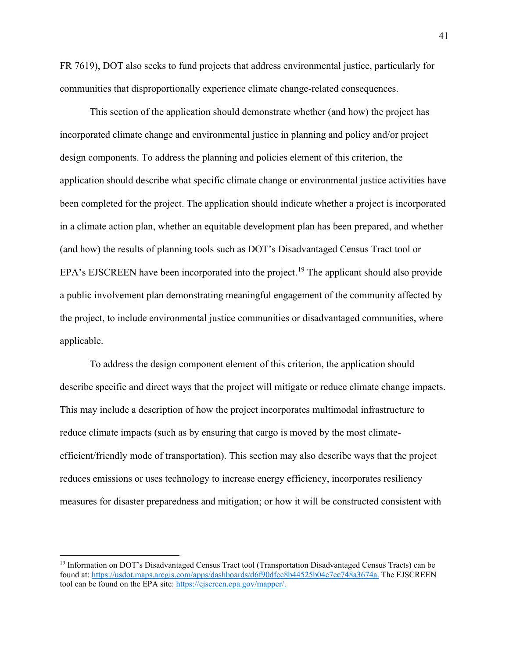FR 7619), DOT also seeks to fund projects that address environmental justice, particularly for communities that disproportionally experience climate change-related consequences.

This section of the application should demonstrate whether (and how) the project has incorporated climate change and environmental justice in planning and policy and/or project design components. To address the planning and policies element of this criterion, the application should describe what specific climate change or environmental justice activities have been completed for the project. The application should indicate whether a project is incorporated in a climate action plan, whether an equitable development plan has been prepared, and whether (and how) the results of planning tools such as DOT's Disadvantaged Census Tract tool or EPA's EJSCREEN have been incorporated into the project.<sup>[19](#page-40-0)</sup> The applicant should also provide a public involvement plan demonstrating meaningful engagement of the community affected by the project, to include environmental justice communities or disadvantaged communities, where applicable.

To address the design component element of this criterion, the application should describe specific and direct ways that the project will mitigate or reduce climate change impacts. This may include a description of how the project incorporates multimodal infrastructure to reduce climate impacts (such as by ensuring that cargo is moved by the most climateefficient/friendly mode of transportation). This section may also describe ways that the project reduces emissions or uses technology to increase energy efficiency, incorporates resiliency measures for disaster preparedness and mitigation; or how it will be constructed consistent with

<span id="page-40-0"></span><sup>&</sup>lt;sup>19</sup> Information on DOT's Disadvantaged Census Tract tool (Transportation Disadvantaged Census Tracts) can be found at: [https://usdot.maps.arcgis.com/apps/dashboards/d6f90dfcc8b44525b04c7ce748a3674a.](https://usdot.maps.arcgis.com/apps/dashboards/d6f90dfcc8b44525b04c7ce748a3674a) The EJSCREEN tool can be found on the EPA site: [https://ejscreen.epa.gov/mapper/.](https://ejscreen.epa.gov/mapper/)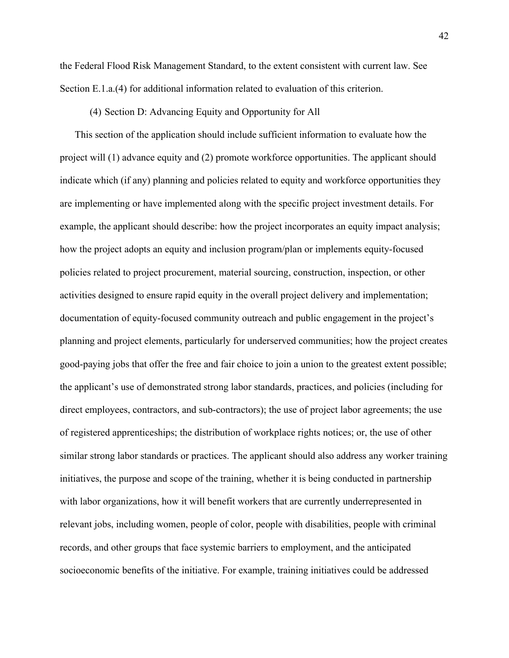the Federal Flood Risk Management Standard, to the extent consistent with current law. See Section E.1.a.(4) for additional information related to evaluation of this criterion.

### (4) Section D: Advancing Equity and Opportunity for All

This section of the application should include sufficient information to evaluate how the project will (1) advance equity and (2) promote workforce opportunities. The applicant should indicate which (if any) planning and policies related to equity and workforce opportunities they are implementing or have implemented along with the specific project investment details. For example, the applicant should describe: how the project incorporates an equity impact analysis; how the project adopts an equity and inclusion program/plan or implements equity-focused policies related to project procurement, material sourcing, construction, inspection, or other activities designed to ensure rapid equity in the overall project delivery and implementation; documentation of equity-focused community outreach and public engagement in the project's planning and project elements, particularly for underserved communities; how the project creates good-paying jobs that offer the free and fair choice to join a union to the greatest extent possible; the applicant's use of demonstrated strong labor standards, practices, and policies (including for direct employees, contractors, and sub-contractors); the use of project labor agreements; the use of registered apprenticeships; the distribution of workplace rights notices; or, the use of other similar strong labor standards or practices. The applicant should also address any worker training initiatives, the purpose and scope of the training, whether it is being conducted in partnership with labor organizations, how it will benefit workers that are currently underrepresented in relevant jobs, including women, people of color, people with disabilities, people with criminal records, and other groups that face systemic barriers to employment, and the anticipated socioeconomic benefits of the initiative. For example, training initiatives could be addressed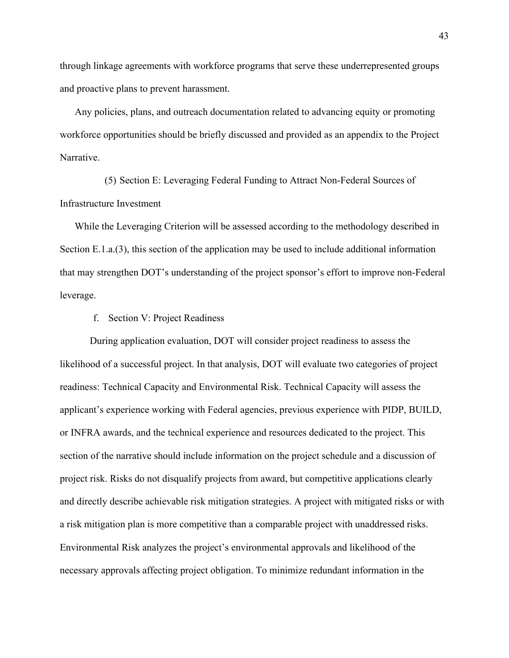through linkage agreements with workforce programs that serve these underrepresented groups and proactive plans to prevent harassment.

Any policies, plans, and outreach documentation related to advancing equity or promoting workforce opportunities should be briefly discussed and provided as an appendix to the Project Narrative.

(5) Section E: Leveraging Federal Funding to Attract Non-Federal Sources of Infrastructure Investment

While the Leveraging Criterion will be assessed according to the methodology described in Section E.1.a.(3), this section of the application may be used to include additional information that may strengthen DOT's understanding of the project sponsor's effort to improve non-Federal leverage.

f. Section V: Project Readiness

During application evaluation, DOT will consider project readiness to assess the likelihood of a successful project. In that analysis, DOT will evaluate two categories of project readiness: Technical Capacity and Environmental Risk. Technical Capacity will assess the applicant's experience working with Federal agencies, previous experience with PIDP, BUILD, or INFRA awards, and the technical experience and resources dedicated to the project. This section of the narrative should include information on the project schedule and a discussion of project risk. Risks do not disqualify projects from award, but competitive applications clearly and directly describe achievable risk mitigation strategies. A project with mitigated risks or with a risk mitigation plan is more competitive than a comparable project with unaddressed risks. Environmental Risk analyzes the project's environmental approvals and likelihood of the necessary approvals affecting project obligation. To minimize redundant information in the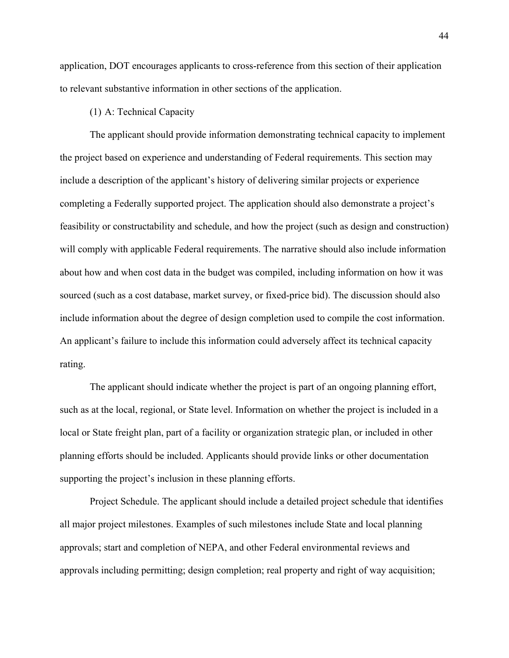application, DOT encourages applicants to cross-reference from this section of their application to relevant substantive information in other sections of the application.

# (1) A: Technical Capacity

The applicant should provide information demonstrating technical capacity to implement the project based on experience and understanding of Federal requirements. This section may include a description of the applicant's history of delivering similar projects or experience completing a Federally supported project. The application should also demonstrate a project's feasibility or constructability and schedule, and how the project (such as design and construction) will comply with applicable Federal requirements. The narrative should also include information about how and when cost data in the budget was compiled, including information on how it was sourced (such as a cost database, market survey, or fixed-price bid). The discussion should also include information about the degree of design completion used to compile the cost information. An applicant's failure to include this information could adversely affect its technical capacity rating.

The applicant should indicate whether the project is part of an ongoing planning effort, such as at the local, regional, or State level. Information on whether the project is included in a local or State freight plan, part of a facility or organization strategic plan, or included in other planning efforts should be included. Applicants should provide links or other documentation supporting the project's inclusion in these planning efforts.

Project Schedule. The applicant should include a detailed project schedule that identifies all major project milestones. Examples of such milestones include State and local planning approvals; start and completion of NEPA, and other Federal environmental reviews and approvals including permitting; design completion; real property and right of way acquisition;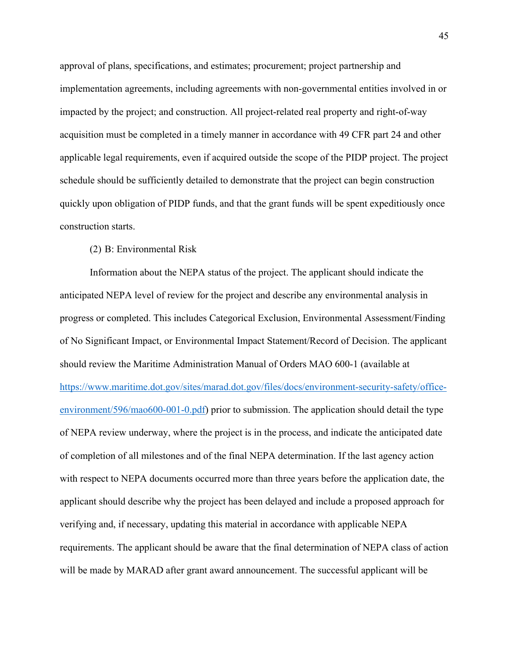approval of plans, specifications, and estimates; procurement; project partnership and implementation agreements, including agreements with non-governmental entities involved in or impacted by the project; and construction. All project-related real property and right-of-way acquisition must be completed in a timely manner in accordance with 49 CFR part 24 and other applicable legal requirements, even if acquired outside the scope of the PIDP project. The project schedule should be sufficiently detailed to demonstrate that the project can begin construction quickly upon obligation of PIDP funds, and that the grant funds will be spent expeditiously once construction starts.

# (2) B: Environmental Risk

Information about the NEPA status of the project. The applicant should indicate the anticipated NEPA level of review for the project and describe any environmental analysis in progress or completed. This includes Categorical Exclusion, Environmental Assessment/Finding of No Significant Impact, or Environmental Impact Statement/Record of Decision. The applicant should review the Maritime Administration Manual of Orders MAO 600-1 (available at [https://www.maritime.dot.gov/sites/marad.dot.gov/files/docs/environment-security-safety/office](https://www.maritime.dot.gov/sites/marad.dot.gov/files/docs/environment-security-safety/office-environment/596/mao600-001-0.pdf)[environment/596/mao600-001-0.pdf\)](https://www.maritime.dot.gov/sites/marad.dot.gov/files/docs/environment-security-safety/office-environment/596/mao600-001-0.pdf) prior to submission. The application should detail the type of NEPA review underway, where the project is in the process, and indicate the anticipated date of completion of all milestones and of the final NEPA determination. If the last agency action with respect to NEPA documents occurred more than three years before the application date, the applicant should describe why the project has been delayed and include a proposed approach for verifying and, if necessary, updating this material in accordance with applicable NEPA requirements. The applicant should be aware that the final determination of NEPA class of action will be made by MARAD after grant award announcement. The successful applicant will be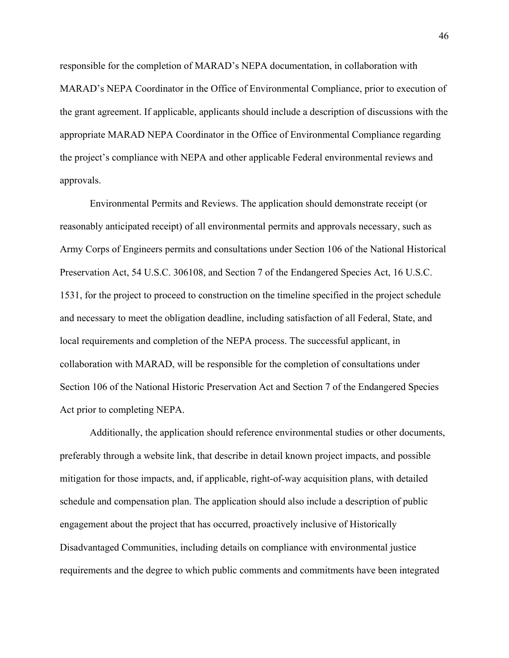responsible for the completion of MARAD's NEPA documentation, in collaboration with MARAD's NEPA Coordinator in the Office of Environmental Compliance, prior to execution of the grant agreement. If applicable, applicants should include a description of discussions with the appropriate MARAD NEPA Coordinator in the Office of Environmental Compliance regarding the project's compliance with NEPA and other applicable Federal environmental reviews and approvals.

Environmental Permits and Reviews. The application should demonstrate receipt (or reasonably anticipated receipt) of all environmental permits and approvals necessary, such as Army Corps of Engineers permits and consultations under Section 106 of the National Historical Preservation Act, 54 U.S.C. 306108, and Section 7 of the Endangered Species Act, 16 U.S.C. 1531, for the project to proceed to construction on the timeline specified in the project schedule and necessary to meet the obligation deadline, including satisfaction of all Federal, State, and local requirements and completion of the NEPA process. The successful applicant, in collaboration with MARAD, will be responsible for the completion of consultations under Section 106 of the National Historic Preservation Act and Section 7 of the Endangered Species Act prior to completing NEPA.

Additionally, the application should reference environmental studies or other documents, preferably through a website link, that describe in detail known project impacts, and possible mitigation for those impacts, and, if applicable, right-of-way acquisition plans, with detailed schedule and compensation plan. The application should also include a description of public engagement about the project that has occurred, proactively inclusive of Historically Disadvantaged Communities, including details on compliance with environmental justice requirements and the degree to which public comments and commitments have been integrated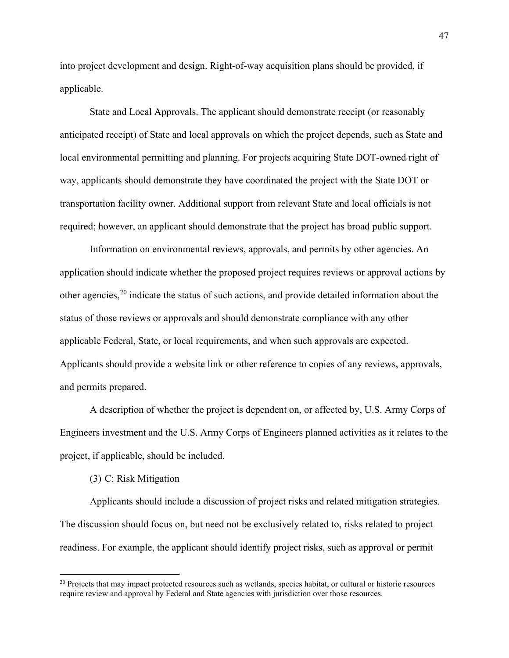into project development and design. Right-of-way acquisition plans should be provided, if applicable.

State and Local Approvals. The applicant should demonstrate receipt (or reasonably anticipated receipt) of State and local approvals on which the project depends, such as State and local environmental permitting and planning. For projects acquiring State DOT-owned right of way, applicants should demonstrate they have coordinated the project with the State DOT or transportation facility owner. Additional support from relevant State and local officials is not required; however, an applicant should demonstrate that the project has broad public support.

Information on environmental reviews, approvals, and permits by other agencies. An application should indicate whether the proposed project requires reviews or approval actions by other agencies,  $2<sup>0</sup>$  indicate the status of such actions, and provide detailed information about the status of those reviews or approvals and should demonstrate compliance with any other applicable Federal, State, or local requirements, and when such approvals are expected. Applicants should provide a website link or other reference to copies of any reviews, approvals, and permits prepared.

A description of whether the project is dependent on, or affected by, U.S. Army Corps of Engineers investment and the U.S. Army Corps of Engineers planned activities as it relates to the project, if applicable, should be included.

### (3) C: Risk Mitigation

Applicants should include a discussion of project risks and related mitigation strategies. The discussion should focus on, but need not be exclusively related to, risks related to project readiness. For example, the applicant should identify project risks, such as approval or permit

<span id="page-46-0"></span><sup>&</sup>lt;sup>20</sup> Projects that may impact protected resources such as wetlands, species habitat, or cultural or historic resources require review and approval by Federal and State agencies with jurisdiction over those resources.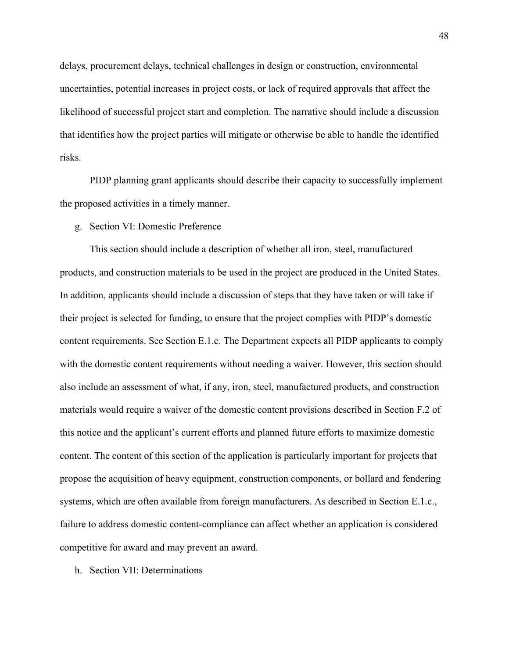delays, procurement delays, technical challenges in design or construction, environmental uncertainties, potential increases in project costs, or lack of required approvals that affect the likelihood of successful project start and completion. The narrative should include a discussion that identifies how the project parties will mitigate or otherwise be able to handle the identified risks.

PIDP planning grant applicants should describe their capacity to successfully implement the proposed activities in a timely manner.

g. Section VI: Domestic Preference

This section should include a description of whether all iron, steel, manufactured products, and construction materials to be used in the project are produced in the United States. In addition, applicants should include a discussion of steps that they have taken or will take if their project is selected for funding, to ensure that the project complies with PIDP's domestic content requirements. See Section E.1.c. The Department expects all PIDP applicants to comply with the domestic content requirements without needing a waiver. However, this section should also include an assessment of what, if any, iron, steel, manufactured products, and construction materials would require a waiver of the domestic content provisions described in Section F.2 of this notice and the applicant's current efforts and planned future efforts to maximize domestic content. The content of this section of the application is particularly important for projects that propose the acquisition of heavy equipment, construction components, or bollard and fendering systems, which are often available from foreign manufacturers. As described in Section E.1.c., failure to address domestic content-compliance can affect whether an application is considered competitive for award and may prevent an award.

h. Section VII: Determinations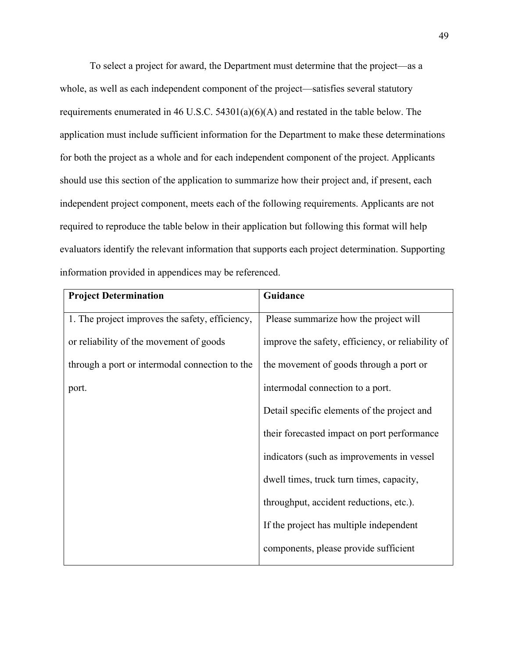To select a project for award, the Department must determine that the project—as a whole, as well as each independent component of the project—satisfies several statutory requirements enumerated in 46 U.S.C. 54301(a)(6)(A) and restated in the table below. The application must include sufficient information for the Department to make these determinations for both the project as a whole and for each independent component of the project. Applicants should use this section of the application to summarize how their project and, if present, each independent project component, meets each of the following requirements. Applicants are not required to reproduce the table below in their application but following this format will help evaluators identify the relevant information that supports each project determination. Supporting information provided in appendices may be referenced.

| <b>Project Determination</b>                    | Guidance                                          |
|-------------------------------------------------|---------------------------------------------------|
| 1. The project improves the safety, efficiency, | Please summarize how the project will             |
| or reliability of the movement of goods         | improve the safety, efficiency, or reliability of |
| through a port or intermodal connection to the  | the movement of goods through a port or           |
| port.                                           | intermodal connection to a port.                  |
|                                                 | Detail specific elements of the project and       |
|                                                 | their forecasted impact on port performance       |
|                                                 | indicators (such as improvements in vessel        |
|                                                 | dwell times, truck turn times, capacity,          |
|                                                 | throughput, accident reductions, etc.).           |
|                                                 | If the project has multiple independent           |
|                                                 | components, please provide sufficient             |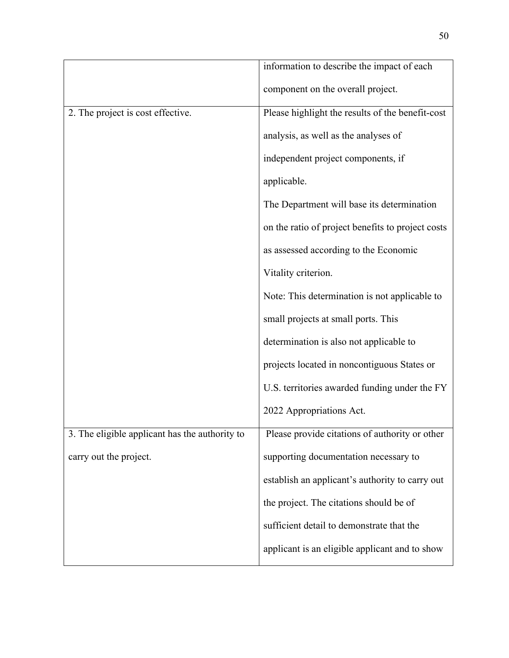|                                                | information to describe the impact of each        |
|------------------------------------------------|---------------------------------------------------|
|                                                | component on the overall project.                 |
| 2. The project is cost effective.              | Please highlight the results of the benefit-cost  |
|                                                | analysis, as well as the analyses of              |
|                                                | independent project components, if                |
|                                                | applicable.                                       |
|                                                | The Department will base its determination        |
|                                                | on the ratio of project benefits to project costs |
|                                                | as assessed according to the Economic             |
|                                                | Vitality criterion.                               |
|                                                | Note: This determination is not applicable to     |
|                                                | small projects at small ports. This               |
|                                                | determination is also not applicable to           |
|                                                | projects located in noncontiguous States or       |
|                                                | U.S. territories awarded funding under the FY     |
|                                                | 2022 Appropriations Act.                          |
| 3. The eligible applicant has the authority to | Please provide citations of authority or other    |
| carry out the project.                         | supporting documentation necessary to             |
|                                                | establish an applicant's authority to carry out   |
|                                                | the project. The citations should be of           |
|                                                | sufficient detail to demonstrate that the         |
|                                                | applicant is an eligible applicant and to show    |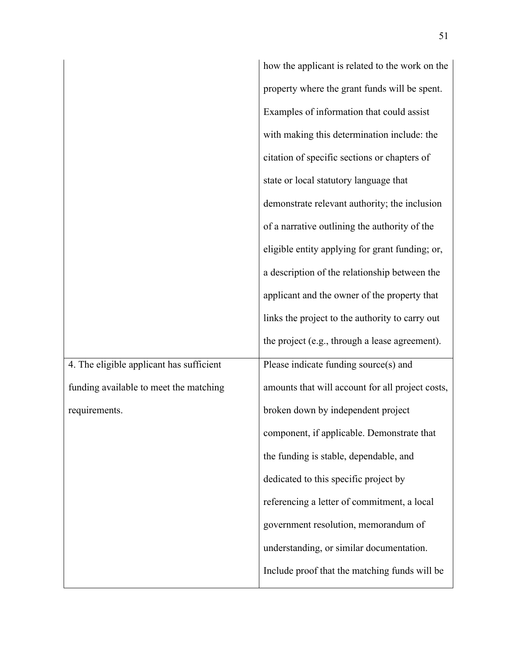|                                          | how the applicant is related to the work on the  |
|------------------------------------------|--------------------------------------------------|
|                                          | property where the grant funds will be spent.    |
|                                          | Examples of information that could assist        |
|                                          | with making this determination include: the      |
|                                          | citation of specific sections or chapters of     |
|                                          | state or local statutory language that           |
|                                          | demonstrate relevant authority; the inclusion    |
|                                          | of a narrative outlining the authority of the    |
|                                          | eligible entity applying for grant funding; or,  |
|                                          | a description of the relationship between the    |
|                                          | applicant and the owner of the property that     |
|                                          | links the project to the authority to carry out  |
|                                          | the project (e.g., through a lease agreement).   |
| 4. The eligible applicant has sufficient | Please indicate funding source(s) and            |
| funding available to meet the matching   | amounts that will account for all project costs, |
| requirements.                            | broken down by independent project               |
|                                          | component, if applicable. Demonstrate that       |
|                                          | the funding is stable, dependable, and           |
|                                          | dedicated to this specific project by            |
|                                          | referencing a letter of commitment, a local      |
|                                          | government resolution, memorandum of             |
|                                          | understanding, or similar documentation.         |
|                                          | Include proof that the matching funds will be    |
|                                          |                                                  |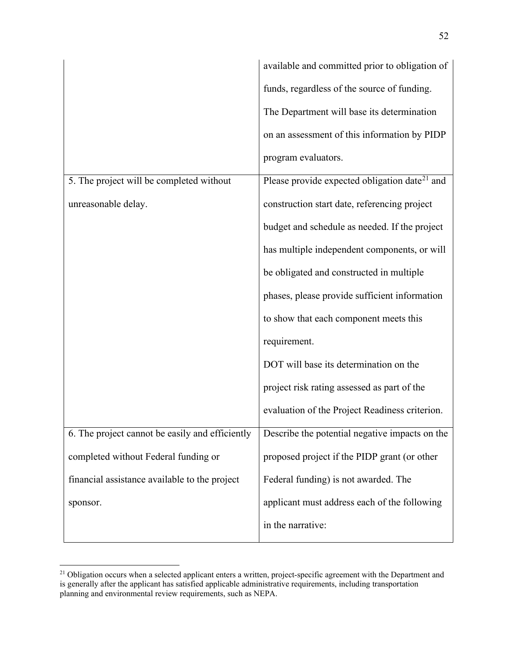|                                                 | available and committed prior to obligation of            |
|-------------------------------------------------|-----------------------------------------------------------|
|                                                 | funds, regardless of the source of funding.               |
|                                                 | The Department will base its determination                |
|                                                 | on an assessment of this information by PIDP              |
|                                                 | program evaluators.                                       |
| 5. The project will be completed without        | Please provide expected obligation date <sup>21</sup> and |
| unreasonable delay.                             | construction start date, referencing project              |
|                                                 | budget and schedule as needed. If the project             |
|                                                 | has multiple independent components, or will              |
|                                                 | be obligated and constructed in multiple                  |
|                                                 | phases, please provide sufficient information             |
|                                                 | to show that each component meets this                    |
|                                                 | requirement.                                              |
|                                                 | DOT will base its determination on the                    |
|                                                 | project risk rating assessed as part of the               |
|                                                 | evaluation of the Project Readiness criterion.            |
| 6. The project cannot be easily and efficiently | Describe the potential negative impacts on the            |
| completed without Federal funding or            | proposed project if the PIDP grant (or other              |
| financial assistance available to the project   | Federal funding) is not awarded. The                      |
| sponsor.                                        | applicant must address each of the following              |
|                                                 | in the narrative:                                         |

<span id="page-51-0"></span><sup>&</sup>lt;sup>21</sup> Obligation occurs when a selected applicant enters a written, project-specific agreement with the Department and is generally after the applicant has satisfied applicable administrative requirements, including transportation planning and environmental review requirements, such as NEPA.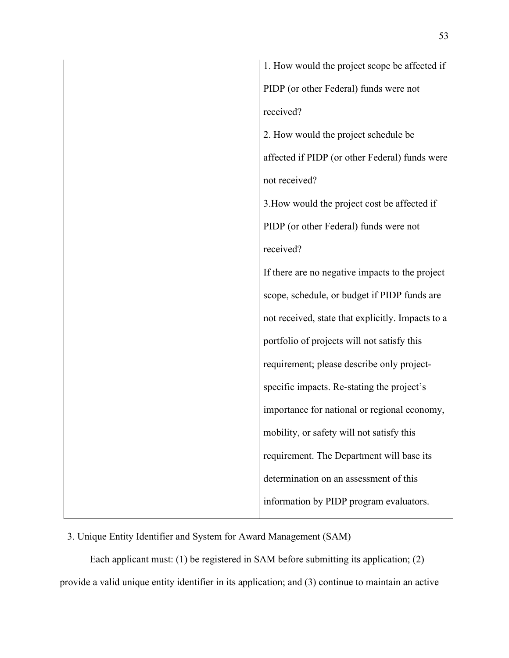1. How would the project scope be affected if PIDP (or other Federal) funds were not received? 2. How would the project schedule be affected if PIDP (or other Federal) funds were not received? 3.How would the project cost be affected if PIDP (or other Federal) funds were not received? If there are no negative impacts to the project scope, schedule, or budget if PIDP funds are not received, state that explicitly. Impacts to a portfolio of projects will not satisfy this requirement; please describe only projectspecific impacts. Re-stating the project's importance for national or regional economy, mobility, or safety will not satisfy this requirement. The Department will base its determination on an assessment of this information by PIDP program evaluators.

# 3. Unique Entity Identifier and System for Award Management (SAM)

Each applicant must: (1) be registered in SAM before submitting its application; (2) provide a valid unique entity identifier in its application; and (3) continue to maintain an active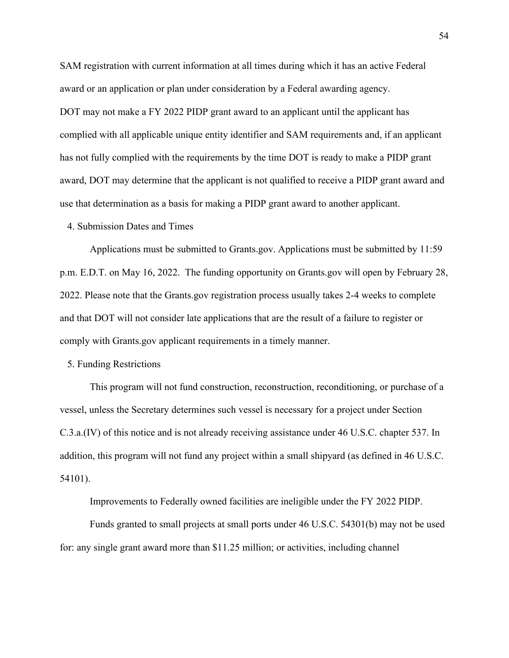SAM registration with current information at all times during which it has an active Federal award or an application or plan under consideration by a Federal awarding agency. DOT may not make a FY 2022 PIDP grant award to an applicant until the applicant has complied with all applicable unique entity identifier and SAM requirements and, if an applicant has not fully complied with the requirements by the time DOT is ready to make a PIDP grant award, DOT may determine that the applicant is not qualified to receive a PIDP grant award and use that determination as a basis for making a PIDP grant award to another applicant.

## 4. Submission Dates and Times

Applications must be submitted to Grants.gov. Applications must be submitted by 11:59 p.m. E.D.T. on May 16, 2022. The funding opportunity on Grants.gov will open by February 28, 2022. Please note that the Grants.gov registration process usually takes 2-4 weeks to complete and that DOT will not consider late applications that are the result of a failure to register or comply with Grants.gov applicant requirements in a timely manner.

#### 5. Funding Restrictions

This program will not fund construction, reconstruction, reconditioning, or purchase of a vessel, unless the Secretary determines such vessel is necessary for a project under Section C.3.a.(IV) of this notice and is not already receiving assistance under 46 U.S.C. chapter 537. In addition, this program will not fund any project within a small shipyard (as defined in 46 U.S.C. 54101).

Improvements to Federally owned facilities are ineligible under the FY 2022 PIDP.

Funds granted to small projects at small ports under 46 U.S.C. 54301(b) may not be used for: any single grant award more than \$11.25 million; or activities, including channel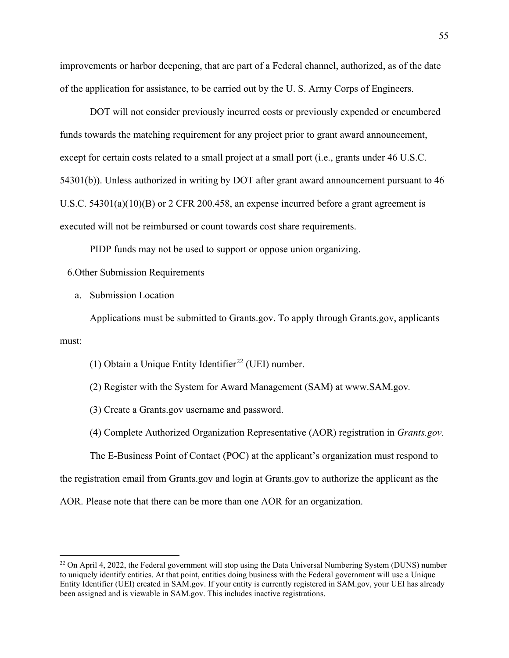improvements or harbor deepening, that are part of a Federal channel, authorized, as of the date of the application for assistance, to be carried out by the U. S. Army Corps of Engineers.

DOT will not consider previously incurred costs or previously expended or encumbered funds towards the matching requirement for any project prior to grant award announcement, except for certain costs related to a small project at a small port (i.e., grants under 46 U.S.C. 54301(b)). Unless authorized in writing by DOT after grant award announcement pursuant to 46 U.S.C. 54301(a)(10)(B) or 2 CFR 200.458, an expense incurred before a grant agreement is executed will not be reimbursed or count towards cost share requirements.

PIDP funds may not be used to support or oppose union organizing.

6.Other Submission Requirements

a. Submission Location

Applications must be submitted to Grants.gov. To apply through Grants.gov, applicants must:

(1) Obtain a Unique Entity Identifier<sup>[22](#page-54-0)</sup> (UEI) number.

(2) Register with the System for Award Management (SAM) at www.SAM.gov*.*

(3) Create a Grants.gov username and password.

(4) Complete Authorized Organization Representative (AOR) registration in *Grants.gov.*

The E-Business Point of Contact (POC) at the applicant's organization must respond to

the registration email from Grants.gov and login at Grants.gov to authorize the applicant as the

AOR. Please note that there can be more than one AOR for an organization.

<span id="page-54-0"></span><sup>&</sup>lt;sup>22</sup> On April 4, 2022, the Federal government will stop using the Data Universal Numbering System (DUNS) number to uniquely identify entities. At that point, entities doing business with the Federal government will use a Unique Entity Identifier (UEI) created in SAM.gov. If your entity is currently registered in SAM.gov, your UEI has already been assigned and is viewable in SAM.gov. This includes inactive registrations.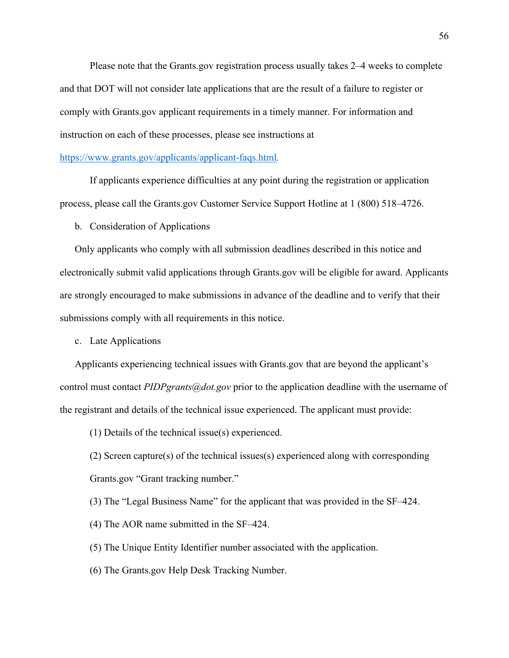Please note that the Grants.gov registration process usually takes 2–4 weeks to complete and that DOT will not consider late applications that are the result of a failure to register or comply with Grants.gov applicant requirements in a timely manner. For information and instruction on each of these processes, please see instructions at

#### <https://www.grants.gov/applicants/applicant-faqs.html>*.*

If applicants experience difficulties at any point during the registration or application process, please call the Grants.gov Customer Service Support Hotline at 1 (800) 518–4726.

b. Consideration of Applications

Only applicants who comply with all submission deadlines described in this notice and electronically submit valid applications through Grants.gov will be eligible for award. Applicants are strongly encouraged to make submissions in advance of the deadline and to verify that their submissions comply with all requirements in this notice.

c. Late Applications

Applicants experiencing technical issues with Grants.gov that are beyond the applicant's control must contact *PIDPgrants@dot.gov* prior to the application deadline with the username of the registrant and details of the technical issue experienced. The applicant must provide:

(1) Details of the technical issue(s) experienced.

(2) Screen capture(s) of the technical issues(s) experienced along with corresponding Grants.gov "Grant tracking number."

(3) The "Legal Business Name" for the applicant that was provided in the SF–424.

(4) The AOR name submitted in the SF–424.

(5) The Unique Entity Identifier number associated with the application.

(6) The Grants.gov Help Desk Tracking Number.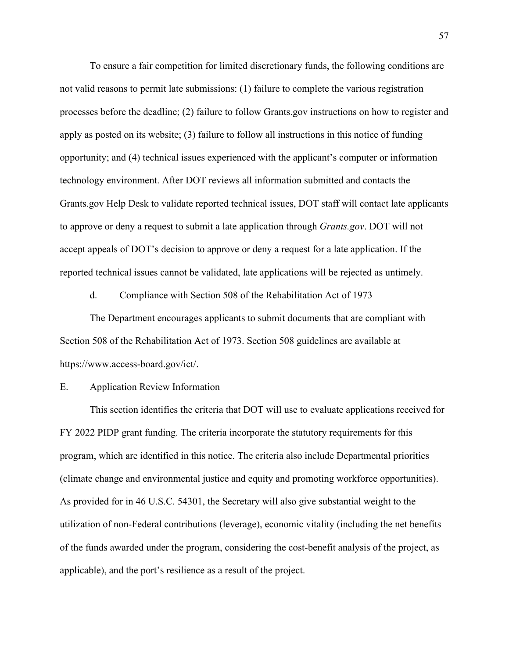To ensure a fair competition for limited discretionary funds, the following conditions are not valid reasons to permit late submissions: (1) failure to complete the various registration processes before the deadline; (2) failure to follow Grants.gov instructions on how to register and apply as posted on its website; (3) failure to follow all instructions in this notice of funding opportunity; and (4) technical issues experienced with the applicant's computer or information technology environment. After DOT reviews all information submitted and contacts the Grants.gov Help Desk to validate reported technical issues, DOT staff will contact late applicants to approve or deny a request to submit a late application through *Grants.gov*. DOT will not accept appeals of DOT's decision to approve or deny a request for a late application. If the reported technical issues cannot be validated, late applications will be rejected as untimely.

d. Compliance with Section 508 of the Rehabilitation Act of 1973

The Department encourages applicants to submit documents that are compliant with Section 508 of the Rehabilitation Act of 1973. Section 508 guidelines are available at https://www.access-board.gov/ict/.

E. Application Review Information

This section identifies the criteria that DOT will use to evaluate applications received for FY 2022 PIDP grant funding. The criteria incorporate the statutory requirements for this program, which are identified in this notice. The criteria also include Departmental priorities (climate change and environmental justice and equity and promoting workforce opportunities). As provided for in 46 U.S.C. 54301, the Secretary will also give substantial weight to the utilization of non-Federal contributions (leverage), economic vitality (including the net benefits of the funds awarded under the program, considering the cost-benefit analysis of the project, as applicable), and the port's resilience as a result of the project.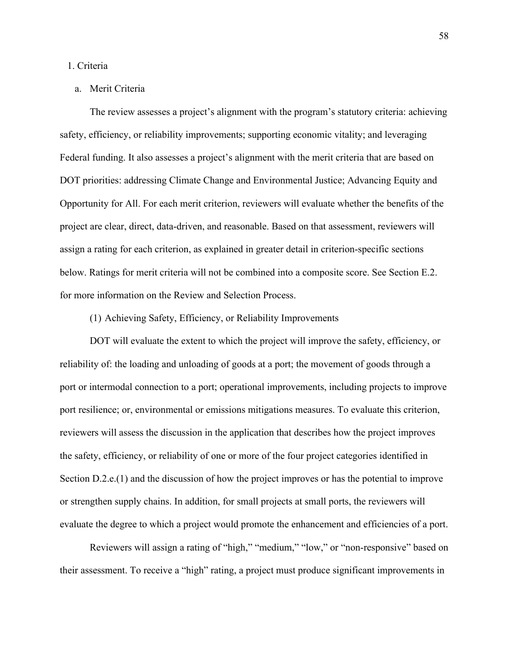## 1. Criteria

# a. Merit Criteria

The review assesses a project's alignment with the program's statutory criteria: achieving safety, efficiency, or reliability improvements; supporting economic vitality; and leveraging Federal funding. It also assesses a project's alignment with the merit criteria that are based on DOT priorities: addressing Climate Change and Environmental Justice; Advancing Equity and Opportunity for All. For each merit criterion, reviewers will evaluate whether the benefits of the project are clear, direct, data-driven, and reasonable. Based on that assessment, reviewers will assign a rating for each criterion, as explained in greater detail in criterion-specific sections below. Ratings for merit criteria will not be combined into a composite score. See Section E.2. for more information on the Review and Selection Process.

# (1) Achieving Safety, Efficiency, or Reliability Improvements

DOT will evaluate the extent to which the project will improve the safety, efficiency, or reliability of: the loading and unloading of goods at a port; the movement of goods through a port or intermodal connection to a port; operational improvements, including projects to improve port resilience; or, environmental or emissions mitigations measures. To evaluate this criterion, reviewers will assess the discussion in the application that describes how the project improves the safety, efficiency, or reliability of one or more of the four project categories identified in Section D.2.e.(1) and the discussion of how the project improves or has the potential to improve or strengthen supply chains. In addition, for small projects at small ports, the reviewers will evaluate the degree to which a project would promote the enhancement and efficiencies of a port.

Reviewers will assign a rating of "high," "medium," "low," or "non-responsive" based on their assessment. To receive a "high" rating, a project must produce significant improvements in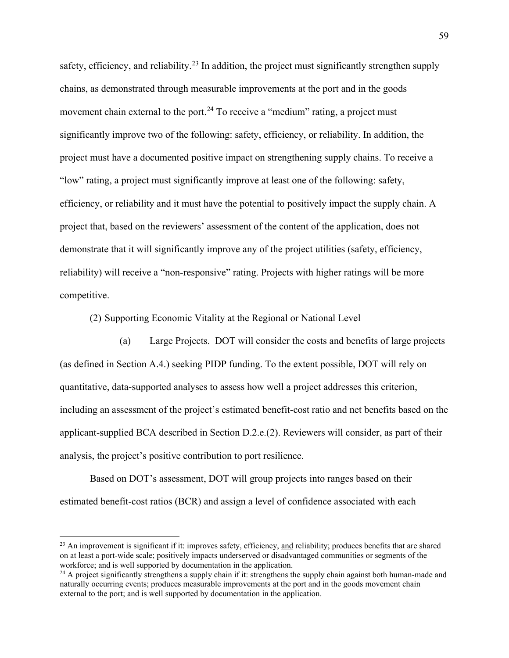safety, efficiency, and reliability.<sup>[23](#page-58-0)</sup> In addition, the project must significantly strengthen supply chains, as demonstrated through measurable improvements at the port and in the goods movement chain external to the port.<sup>[24](#page-58-1)</sup> To receive a "medium" rating, a project must significantly improve two of the following: safety, efficiency, or reliability. In addition, the project must have a documented positive impact on strengthening supply chains. To receive a "low" rating, a project must significantly improve at least one of the following: safety, efficiency, or reliability and it must have the potential to positively impact the supply chain. A project that, based on the reviewers' assessment of the content of the application, does not demonstrate that it will significantly improve any of the project utilities (safety, efficiency, reliability) will receive a "non-responsive" rating. Projects with higher ratings will be more competitive.

(2) Supporting Economic Vitality at the Regional or National Level

(a) Large Projects. DOT will consider the costs and benefits of large projects (as defined in Section A.4.) seeking PIDP funding. To the extent possible, DOT will rely on quantitative, data-supported analyses to assess how well a project addresses this criterion, including an assessment of the project's estimated benefit-cost ratio and net benefits based on the applicant-supplied BCA described in Section D.2.e.(2). Reviewers will consider, as part of their analysis, the project's positive contribution to port resilience.

Based on DOT's assessment, DOT will group projects into ranges based on their estimated benefit-cost ratios (BCR) and assign a level of confidence associated with each

<span id="page-58-0"></span> $^{23}$  An improvement is significant if it: improves safety, efficiency, and reliability; produces benefits that are shared on at least a port-wide scale; positively impacts underserved or disadvantaged communities or segments of the workforce; and is well supported by documentation in the application.

<span id="page-58-1"></span> $^{24}$  A project significantly strengthens a supply chain if it: strengthens the supply chain against both human-made and naturally occurring events; produces measurable improvements at the port and in the goods movement chain external to the port; and is well supported by documentation in the application.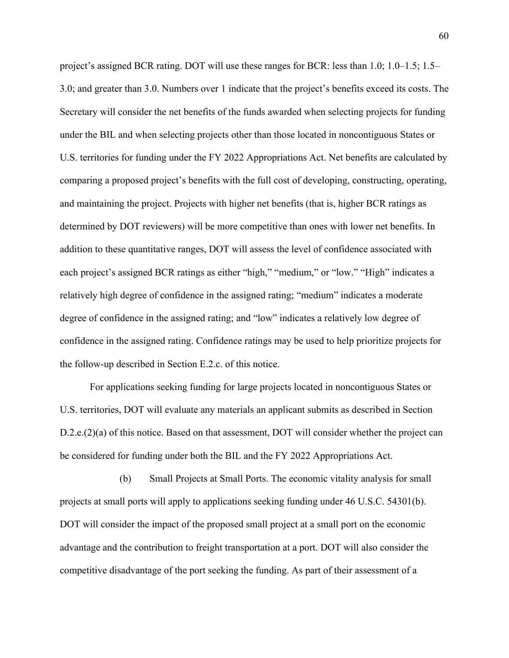project's assigned BCR rating. DOT will use these ranges for BCR: less than 1.0; 1.0–1.5; 1.5– 3.0; and greater than 3.0. Numbers over 1 indicate that the project's benefits exceed its costs. The Secretary will consider the net benefits of the funds awarded when selecting projects for funding under the BIL and when selecting projects other than those located in noncontiguous States or U.S. territories for funding under the FY 2022 Appropriations Act. Net benefits are calculated by comparing a proposed project's benefits with the full cost of developing, constructing, operating, and maintaining the project. Projects with higher net benefits (that is, higher BCR ratings as determined by DOT reviewers) will be more competitive than ones with lower net benefits. In addition to these quantitative ranges, DOT will assess the level of confidence associated with each project's assigned BCR ratings as either "high," "medium," or "low." "High" indicates a relatively high degree of confidence in the assigned rating; "medium" indicates a moderate degree of confidence in the assigned rating; and "low" indicates a relatively low degree of confidence in the assigned rating. Confidence ratings may be used to help prioritize projects for the follow-up described in Section E.2.c. of this notice.

For applications seeking funding for large projects located in noncontiguous States or U.S. territories, DOT will evaluate any materials an applicant submits as described in Section D.2.e.(2)(a) of this notice. Based on that assessment, DOT will consider whether the project can be considered for funding under both the BIL and the FY 2022 Appropriations Act.

(b) Small Projects at Small Ports. The economic vitality analysis for small projects at small ports will apply to applications seeking funding under 46 U.S.C. 54301(b). DOT will consider the impact of the proposed small project at a small port on the economic advantage and the contribution to freight transportation at a port. DOT will also consider the competitive disadvantage of the port seeking the funding. As part of their assessment of a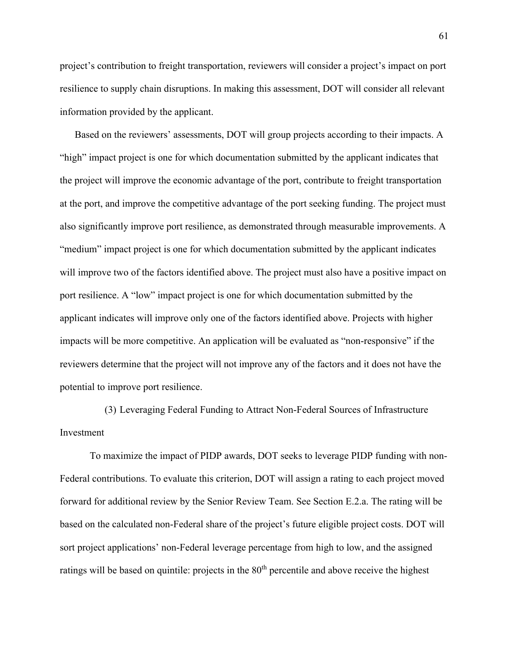project's contribution to freight transportation, reviewers will consider a project's impact on port resilience to supply chain disruptions. In making this assessment, DOT will consider all relevant information provided by the applicant.

Based on the reviewers' assessments, DOT will group projects according to their impacts. A "high" impact project is one for which documentation submitted by the applicant indicates that the project will improve the economic advantage of the port, contribute to freight transportation at the port, and improve the competitive advantage of the port seeking funding. The project must also significantly improve port resilience, as demonstrated through measurable improvements. A "medium" impact project is one for which documentation submitted by the applicant indicates will improve two of the factors identified above. The project must also have a positive impact on port resilience. A "low" impact project is one for which documentation submitted by the applicant indicates will improve only one of the factors identified above. Projects with higher impacts will be more competitive. An application will be evaluated as "non-responsive" if the reviewers determine that the project will not improve any of the factors and it does not have the potential to improve port resilience.

(3) Leveraging Federal Funding to Attract Non-Federal Sources of Infrastructure Investment

To maximize the impact of PIDP awards, DOT seeks to leverage PIDP funding with non-Federal contributions. To evaluate this criterion, DOT will assign a rating to each project moved forward for additional review by the Senior Review Team. See Section E.2.a. The rating will be based on the calculated non-Federal share of the project's future eligible project costs. DOT will sort project applications' non-Federal leverage percentage from high to low, and the assigned ratings will be based on quintile: projects in the 80<sup>th</sup> percentile and above receive the highest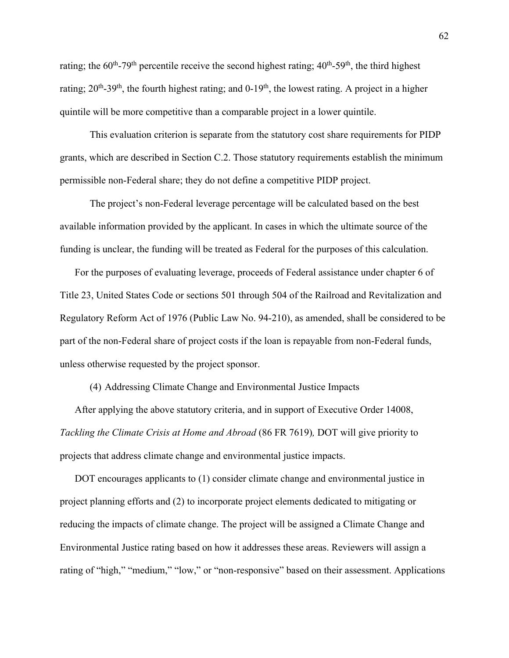rating; the  $60^{th}$ -79<sup>th</sup> percentile receive the second highest rating;  $40^{th}$ -59<sup>th</sup>, the third highest rating;  $20^{th}$ -39<sup>th</sup>, the fourth highest rating; and  $0$ -19<sup>th</sup>, the lowest rating. A project in a higher quintile will be more competitive than a comparable project in a lower quintile.

This evaluation criterion is separate from the statutory cost share requirements for PIDP grants, which are described in Section C.2. Those statutory requirements establish the minimum permissible non-Federal share; they do not define a competitive PIDP project.

The project's non-Federal leverage percentage will be calculated based on the best available information provided by the applicant. In cases in which the ultimate source of the funding is unclear, the funding will be treated as Federal for the purposes of this calculation.

For the purposes of evaluating leverage, proceeds of Federal assistance under chapter 6 of Title 23, United States Code or sections 501 through 504 of the Railroad and Revitalization and Regulatory Reform Act of 1976 (Public Law No. 94-210), as amended, shall be considered to be part of the non-Federal share of project costs if the loan is repayable from non-Federal funds, unless otherwise requested by the project sponsor.

(4) Addressing Climate Change and Environmental Justice Impacts

After applying the above statutory criteria, and in support of Executive Order 14008, *Tackling the Climate Crisis at Home and Abroad* (86 FR 7619)*,* DOT will give priority to projects that address climate change and environmental justice impacts.

DOT encourages applicants to (1) consider climate change and environmental justice in project planning efforts and (2) to incorporate project elements dedicated to mitigating or reducing the impacts of climate change. The project will be assigned a Climate Change and Environmental Justice rating based on how it addresses these areas. Reviewers will assign a rating of "high," "medium," "low," or "non-responsive" based on their assessment. Applications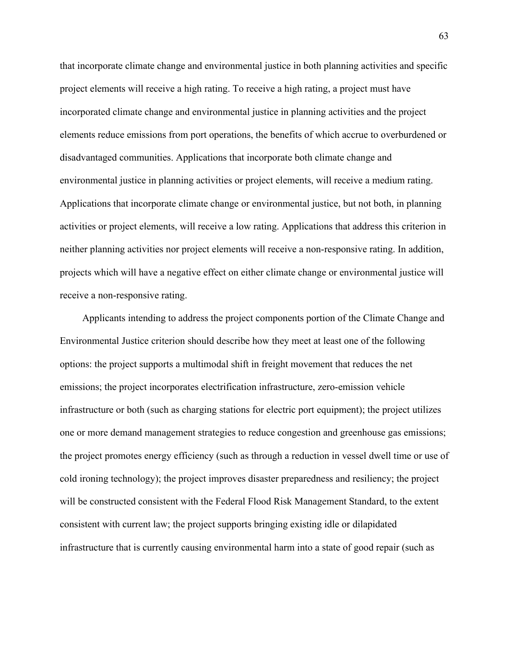that incorporate climate change and environmental justice in both planning activities and specific project elements will receive a high rating. To receive a high rating, a project must have incorporated climate change and environmental justice in planning activities and the project elements reduce emissions from port operations, the benefits of which accrue to overburdened or disadvantaged communities. Applications that incorporate both climate change and environmental justice in planning activities or project elements, will receive a medium rating. Applications that incorporate climate change or environmental justice, but not both, in planning activities or project elements, will receive a low rating. Applications that address this criterion in neither planning activities nor project elements will receive a non-responsive rating. In addition, projects which will have a negative effect on either climate change or environmental justice will receive a non-responsive rating.

Applicants intending to address the project components portion of the Climate Change and Environmental Justice criterion should describe how they meet at least one of the following options: the project supports a multimodal shift in freight movement that reduces the net emissions; the project incorporates electrification infrastructure, zero-emission vehicle infrastructure or both (such as charging stations for electric port equipment); the project utilizes one or more demand management strategies to reduce congestion and greenhouse gas emissions; the project promotes energy efficiency (such as through a reduction in vessel dwell time or use of cold ironing technology); the project improves disaster preparedness and resiliency; the project will be constructed consistent with the Federal Flood Risk Management Standard, to the extent consistent with current law; the project supports bringing existing idle or dilapidated infrastructure that is currently causing environmental harm into a state of good repair (such as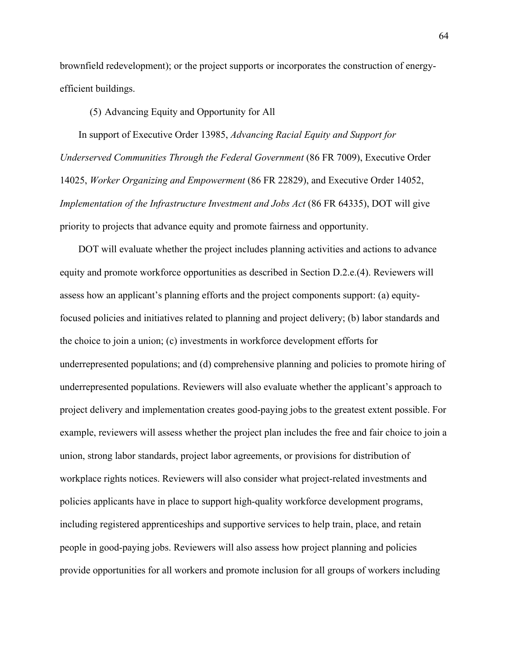brownfield redevelopment); or the project supports or incorporates the construction of energyefficient buildings.

(5) Advancing Equity and Opportunity for All

In support of Executive Order 13985, *Advancing Racial Equity and Support for Underserved Communities Through the Federal Government* (86 FR 7009), Executive Order 14025, *Worker Organizing and Empowerment* (86 FR 22829), and Executive Order 14052, *Implementation of the Infrastructure Investment and Jobs Act* (86 FR 64335), DOT will give priority to projects that advance equity and promote fairness and opportunity.

DOT will evaluate whether the project includes planning activities and actions to advance equity and promote workforce opportunities as described in Section D.2.e.(4). Reviewers will assess how an applicant's planning efforts and the project components support: (a) equityfocused policies and initiatives related to planning and project delivery; (b) labor standards and the choice to join a union; (c) investments in workforce development efforts for underrepresented populations; and (d) comprehensive planning and policies to promote hiring of underrepresented populations. Reviewers will also evaluate whether the applicant's approach to project delivery and implementation creates good-paying jobs to the greatest extent possible. For example, reviewers will assess whether the project plan includes the free and fair choice to join a union, strong labor standards, project labor agreements, or provisions for distribution of workplace rights notices. Reviewers will also consider what project-related investments and policies applicants have in place to support high-quality workforce development programs, including registered apprenticeships and supportive services to help train, place, and retain people in good-paying jobs. Reviewers will also assess how project planning and policies provide opportunities for all workers and promote inclusion for all groups of workers including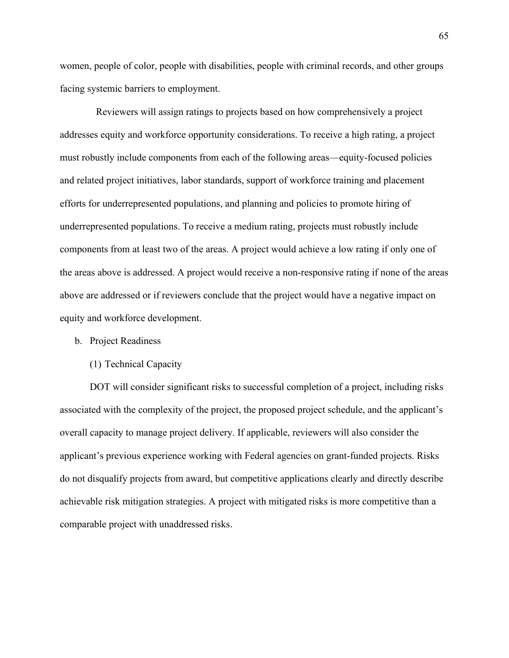women, people of color, people with disabilities, people with criminal records, and other groups facing systemic barriers to employment.

 Reviewers will assign ratings to projects based on how comprehensively a project addresses equity and workforce opportunity considerations. To receive a high rating, a project must robustly include components from each of the following areas—equity-focused policies and related project initiatives, labor standards, support of workforce training and placement efforts for underrepresented populations, and planning and policies to promote hiring of underrepresented populations. To receive a medium rating, projects must robustly include components from at least two of the areas. A project would achieve a low rating if only one of the areas above is addressed. A project would receive a non-responsive rating if none of the areas above are addressed or if reviewers conclude that the project would have a negative impact on equity and workforce development.

### b. Project Readiness

#### (1) Technical Capacity

DOT will consider significant risks to successful completion of a project, including risks associated with the complexity of the project, the proposed project schedule, and the applicant's overall capacity to manage project delivery. If applicable, reviewers will also consider the applicant's previous experience working with Federal agencies on grant-funded projects. Risks do not disqualify projects from award, but competitive applications clearly and directly describe achievable risk mitigation strategies. A project with mitigated risks is more competitive than a comparable project with unaddressed risks.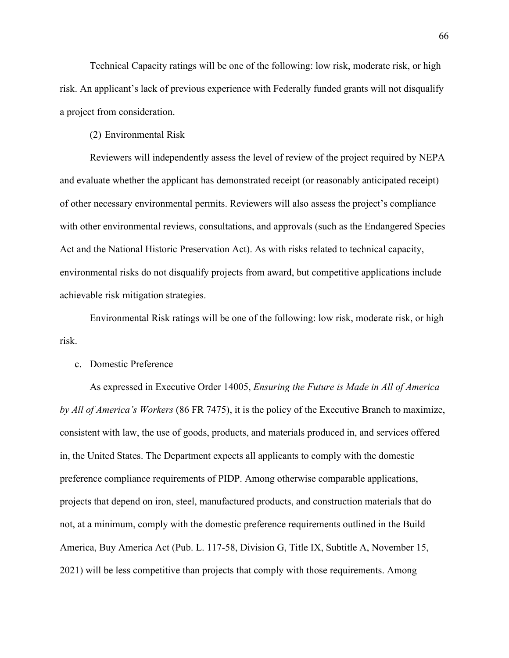Technical Capacity ratings will be one of the following: low risk, moderate risk, or high risk. An applicant's lack of previous experience with Federally funded grants will not disqualify a project from consideration.

(2) Environmental Risk

Reviewers will independently assess the level of review of the project required by NEPA and evaluate whether the applicant has demonstrated receipt (or reasonably anticipated receipt) of other necessary environmental permits. Reviewers will also assess the project's compliance with other environmental reviews, consultations, and approvals (such as the Endangered Species Act and the National Historic Preservation Act). As with risks related to technical capacity, environmental risks do not disqualify projects from award, but competitive applications include achievable risk mitigation strategies.

Environmental Risk ratings will be one of the following: low risk, moderate risk, or high risk.

## c. Domestic Preference

As expressed in Executive Order 14005, *Ensuring the Future is Made in All of America by All of America's Workers* (86 FR 7475), it is the policy of the Executive Branch to maximize, consistent with law, the use of goods, products, and materials produced in, and services offered in, the United States. The Department expects all applicants to comply with the domestic preference compliance requirements of PIDP. Among otherwise comparable applications, projects that depend on iron, steel, manufactured products, and construction materials that do not, at a minimum, comply with the domestic preference requirements outlined in the Build America, Buy America Act (Pub. L. 117-58, Division G, Title IX, Subtitle A, November 15, 2021) will be less competitive than projects that comply with those requirements. Among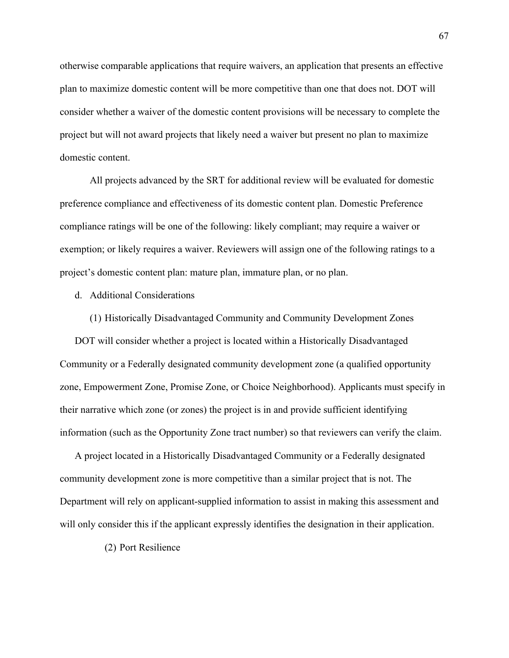otherwise comparable applications that require waivers, an application that presents an effective plan to maximize domestic content will be more competitive than one that does not. DOT will consider whether a waiver of the domestic content provisions will be necessary to complete the project but will not award projects that likely need a waiver but present no plan to maximize domestic content.

All projects advanced by the SRT for additional review will be evaluated for domestic preference compliance and effectiveness of its domestic content plan. Domestic Preference compliance ratings will be one of the following: likely compliant; may require a waiver or exemption; or likely requires a waiver. Reviewers will assign one of the following ratings to a project's domestic content plan: mature plan, immature plan, or no plan.

- d. Additional Considerations
	- (1) Historically Disadvantaged Community and Community Development Zones

DOT will consider whether a project is located within a Historically Disadvantaged Community or a Federally designated community development zone (a qualified opportunity zone, Empowerment Zone, Promise Zone, or Choice Neighborhood). Applicants must specify in their narrative which zone (or zones) the project is in and provide sufficient identifying information (such as the Opportunity Zone tract number) so that reviewers can verify the claim.

A project located in a Historically Disadvantaged Community or a Federally designated community development zone is more competitive than a similar project that is not. The Department will rely on applicant-supplied information to assist in making this assessment and will only consider this if the applicant expressly identifies the designation in their application.

(2) Port Resilience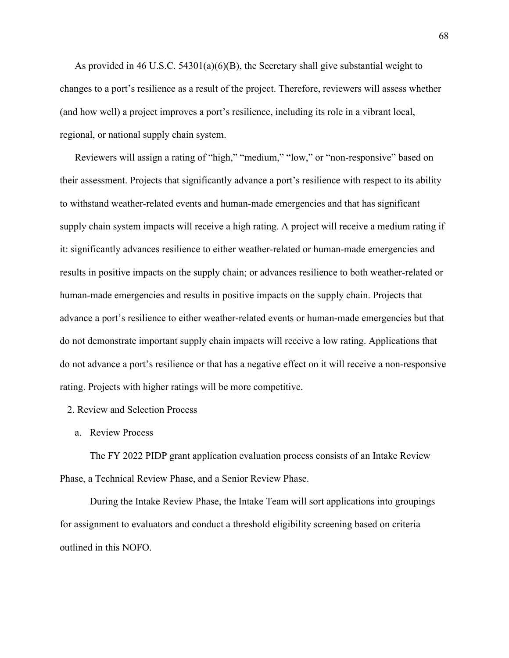As provided in 46 U.S.C. 54301(a)(6)(B), the Secretary shall give substantial weight to changes to a port's resilience as a result of the project. Therefore, reviewers will assess whether (and how well) a project improves a port's resilience, including its role in a vibrant local, regional, or national supply chain system.

Reviewers will assign a rating of "high," "medium," "low," or "non-responsive" based on their assessment. Projects that significantly advance a port's resilience with respect to its ability to withstand weather-related events and human-made emergencies and that has significant supply chain system impacts will receive a high rating. A project will receive a medium rating if it: significantly advances resilience to either weather-related or human-made emergencies and results in positive impacts on the supply chain; or advances resilience to both weather-related or human-made emergencies and results in positive impacts on the supply chain. Projects that advance a port's resilience to either weather-related events or human-made emergencies but that do not demonstrate important supply chain impacts will receive a low rating. Applications that do not advance a port's resilience or that has a negative effect on it will receive a non-responsive rating. Projects with higher ratings will be more competitive.

### 2. Review and Selection Process

a. Review Process

The FY 2022 PIDP grant application evaluation process consists of an Intake Review Phase, a Technical Review Phase, and a Senior Review Phase.

During the Intake Review Phase, the Intake Team will sort applications into groupings for assignment to evaluators and conduct a threshold eligibility screening based on criteria outlined in this NOFO.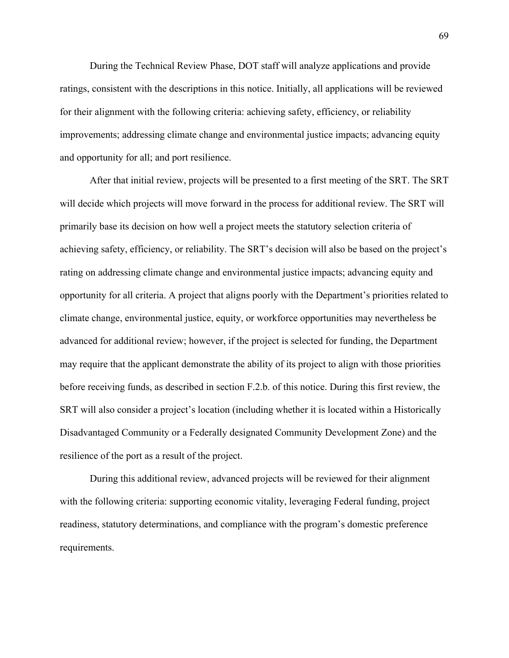During the Technical Review Phase, DOT staff will analyze applications and provide ratings, consistent with the descriptions in this notice. Initially, all applications will be reviewed for their alignment with the following criteria: achieving safety, efficiency, or reliability improvements; addressing climate change and environmental justice impacts; advancing equity and opportunity for all; and port resilience.

After that initial review, projects will be presented to a first meeting of the SRT. The SRT will decide which projects will move forward in the process for additional review. The SRT will primarily base its decision on how well a project meets the statutory selection criteria of achieving safety, efficiency, or reliability. The SRT's decision will also be based on the project's rating on addressing climate change and environmental justice impacts; advancing equity and opportunity for all criteria. A project that aligns poorly with the Department's priorities related to climate change, environmental justice, equity, or workforce opportunities may nevertheless be advanced for additional review; however, if the project is selected for funding, the Department may require that the applicant demonstrate the ability of its project to align with those priorities before receiving funds, as described in section F.2.b. of this notice. During this first review, the SRT will also consider a project's location (including whether it is located within a Historically Disadvantaged Community or a Federally designated Community Development Zone) and the resilience of the port as a result of the project.

During this additional review, advanced projects will be reviewed for their alignment with the following criteria: supporting economic vitality, leveraging Federal funding, project readiness, statutory determinations, and compliance with the program's domestic preference requirements.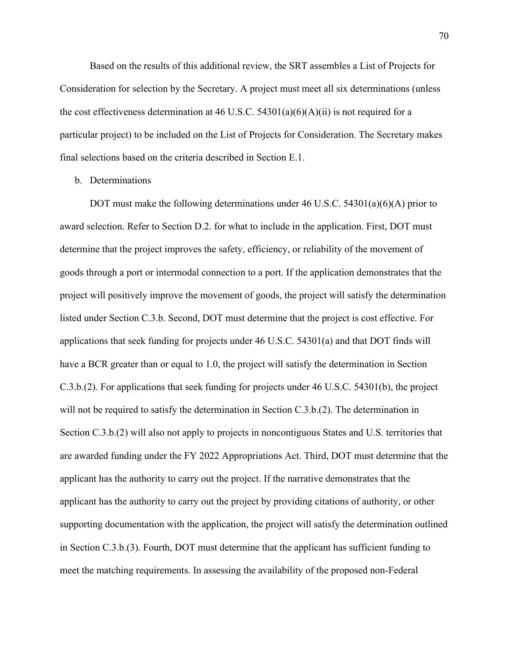Based on the results of this additional review, the SRT assembles a List of Projects for Consideration for selection by the Secretary. A project must meet all six determinations (unless the cost effectiveness determination at 46 U.S.C. 54301(a)(6)(A)(ii) is not required for a particular project) to be included on the List of Projects for Consideration. The Secretary makes final selections based on the criteria described in Section E.1.

b. Determinations

DOT must make the following determinations under 46 U.S.C. 54301(a)(6)(A) prior to award selection. Refer to Section D.2. for what to include in the application. First, DOT must determine that the project improves the safety, efficiency, or reliability of the movement of goods through a port or intermodal connection to a port. If the application demonstrates that the project will positively improve the movement of goods, the project will satisfy the determination listed under Section C.3.b. Second, DOT must determine that the project is cost effective. For applications that seek funding for projects under 46 U.S.C. 54301(a) and that DOT finds will have a BCR greater than or equal to 1.0, the project will satisfy the determination in Section C.3.b.(2). For applications that seek funding for projects under 46 U.S.C. 54301(b), the project will not be required to satisfy the determination in Section C.3.b.(2). The determination in Section C.3.b.(2) will also not apply to projects in noncontiguous States and U.S. territories that are awarded funding under the FY 2022 Appropriations Act. Third, DOT must determine that the applicant has the authority to carry out the project. If the narrative demonstrates that the applicant has the authority to carry out the project by providing citations of authority, or other supporting documentation with the application, the project will satisfy the determination outlined in Section C.3.b.(3). Fourth, DOT must determine that the applicant has sufficient funding to meet the matching requirements. In assessing the availability of the proposed non-Federal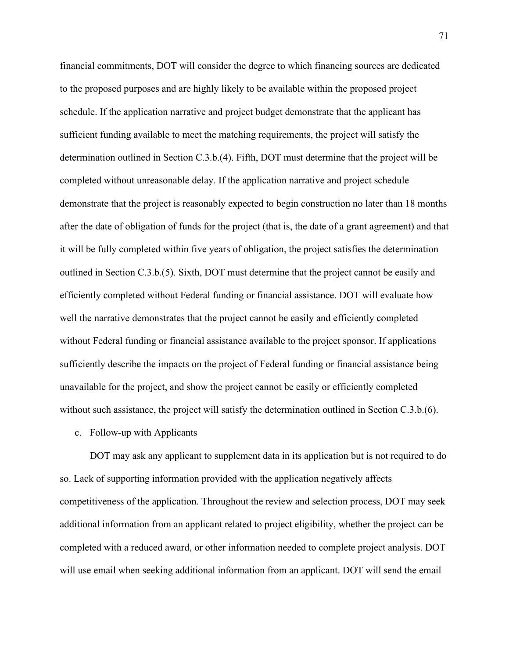financial commitments, DOT will consider the degree to which financing sources are dedicated to the proposed purposes and are highly likely to be available within the proposed project schedule. If the application narrative and project budget demonstrate that the applicant has sufficient funding available to meet the matching requirements, the project will satisfy the determination outlined in Section C.3.b.(4). Fifth, DOT must determine that the project will be completed without unreasonable delay. If the application narrative and project schedule demonstrate that the project is reasonably expected to begin construction no later than 18 months after the date of obligation of funds for the project (that is, the date of a grant agreement) and that it will be fully completed within five years of obligation, the project satisfies the determination outlined in Section C.3.b.(5). Sixth, DOT must determine that the project cannot be easily and efficiently completed without Federal funding or financial assistance. DOT will evaluate how well the narrative demonstrates that the project cannot be easily and efficiently completed without Federal funding or financial assistance available to the project sponsor. If applications sufficiently describe the impacts on the project of Federal funding or financial assistance being unavailable for the project, and show the project cannot be easily or efficiently completed without such assistance, the project will satisfy the determination outlined in Section C.3.b.(6).

c. Follow-up with Applicants

DOT may ask any applicant to supplement data in its application but is not required to do so. Lack of supporting information provided with the application negatively affects competitiveness of the application. Throughout the review and selection process, DOT may seek additional information from an applicant related to project eligibility, whether the project can be completed with a reduced award, or other information needed to complete project analysis. DOT will use email when seeking additional information from an applicant. DOT will send the email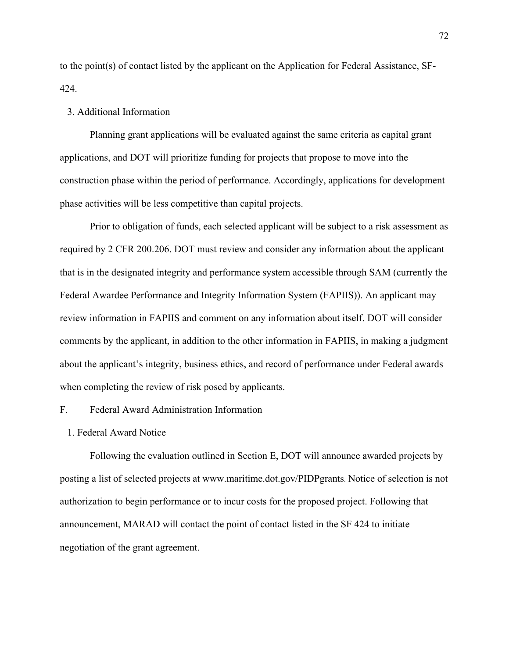to the point(s) of contact listed by the applicant on the Application for Federal Assistance, SF-424.

## 3. Additional Information

Planning grant applications will be evaluated against the same criteria as capital grant applications, and DOT will prioritize funding for projects that propose to move into the construction phase within the period of performance. Accordingly, applications for development phase activities will be less competitive than capital projects.

Prior to obligation of funds, each selected applicant will be subject to a risk assessment as required by 2 CFR 200.206. DOT must review and consider any information about the applicant that is in the designated integrity and performance system accessible through SAM (currently the Federal Awardee Performance and Integrity Information System (FAPIIS)). An applicant may review information in FAPIIS and comment on any information about itself. DOT will consider comments by the applicant, in addition to the other information in FAPIIS, in making a judgment about the applicant's integrity, business ethics, and record of performance under Federal awards when completing the review of risk posed by applicants.

## F. Federal Award Administration Information

1. Federal Award Notice

Following the evaluation outlined in Section E, DOT will announce awarded projects by posting a list of selected projects at www.maritime.dot.gov/PIDPgrants. Notice of selection is not authorization to begin performance or to incur costs for the proposed project. Following that announcement, MARAD will contact the point of contact listed in the SF 424 to initiate negotiation of the grant agreement.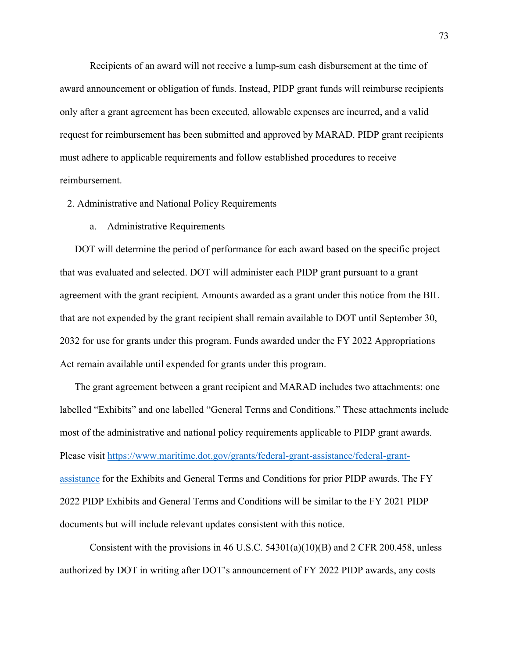Recipients of an award will not receive a lump-sum cash disbursement at the time of award announcement or obligation of funds. Instead, PIDP grant funds will reimburse recipients only after a grant agreement has been executed, allowable expenses are incurred, and a valid request for reimbursement has been submitted and approved by MARAD. PIDP grant recipients must adhere to applicable requirements and follow established procedures to receive reimbursement.

2. Administrative and National Policy Requirements

a. Administrative Requirements

DOT will determine the period of performance for each award based on the specific project that was evaluated and selected. DOT will administer each PIDP grant pursuant to a grant agreement with the grant recipient. Amounts awarded as a grant under this notice from the BIL that are not expended by the grant recipient shall remain available to DOT until September 30, 2032 for use for grants under this program. Funds awarded under the FY 2022 Appropriations Act remain available until expended for grants under this program.

The grant agreement between a grant recipient and MARAD includes two attachments: one labelled "Exhibits" and one labelled "General Terms and Conditions." These attachments include most of the administrative and national policy requirements applicable to PIDP grant awards. Please visit [https://www.maritime.dot.gov/grants/federal-grant-assistance/federal-grant](https://www.maritime.dot.gov/grants/federal-grant-assistance/federal-grant-assistance)[assistance](https://www.maritime.dot.gov/grants/federal-grant-assistance/federal-grant-assistance) for the Exhibits and General Terms and Conditions for prior PIDP awards. The FY 2022 PIDP Exhibits and General Terms and Conditions will be similar to the FY 2021 PIDP documents but will include relevant updates consistent with this notice.

Consistent with the provisions in 46 U.S.C. 54301(a)(10)(B) and 2 CFR 200.458, unless authorized by DOT in writing after DOT's announcement of FY 2022 PIDP awards, any costs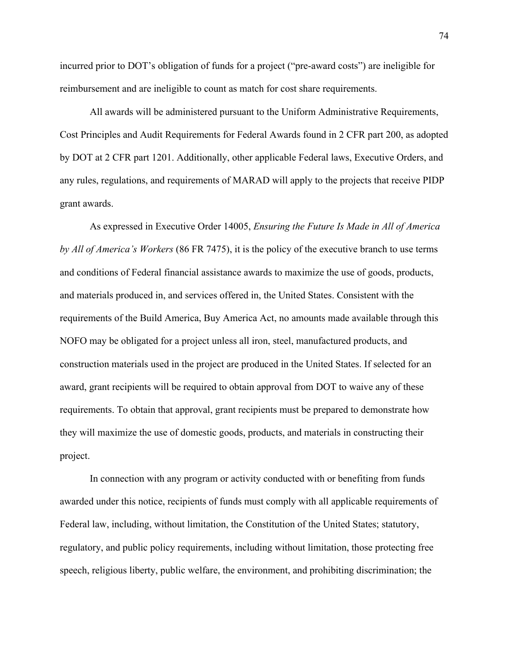incurred prior to DOT's obligation of funds for a project ("pre-award costs") are ineligible for reimbursement and are ineligible to count as match for cost share requirements.

All awards will be administered pursuant to the Uniform Administrative Requirements, Cost Principles and Audit Requirements for Federal Awards found in 2 CFR part 200, as adopted by DOT at 2 CFR part 1201. Additionally, other applicable Federal laws, Executive Orders, and any rules, regulations, and requirements of MARAD will apply to the projects that receive PIDP grant awards.

As expressed in Executive Order 14005, *Ensuring the Future Is Made in All of America by All of America's Workers* (86 FR 7475), it is the policy of the executive branch to use terms and conditions of Federal financial assistance awards to maximize the use of goods, products, and materials produced in, and services offered in, the United States. Consistent with the requirements of the Build America, Buy America Act, no amounts made available through this NOFO may be obligated for a project unless all iron, steel, manufactured products, and construction materials used in the project are produced in the United States. If selected for an award, grant recipients will be required to obtain approval from DOT to waive any of these requirements. To obtain that approval, grant recipients must be prepared to demonstrate how they will maximize the use of domestic goods, products, and materials in constructing their project.

In connection with any program or activity conducted with or benefiting from funds awarded under this notice, recipients of funds must comply with all applicable requirements of Federal law, including, without limitation, the Constitution of the United States; statutory, regulatory, and public policy requirements, including without limitation, those protecting free speech, religious liberty, public welfare, the environment, and prohibiting discrimination; the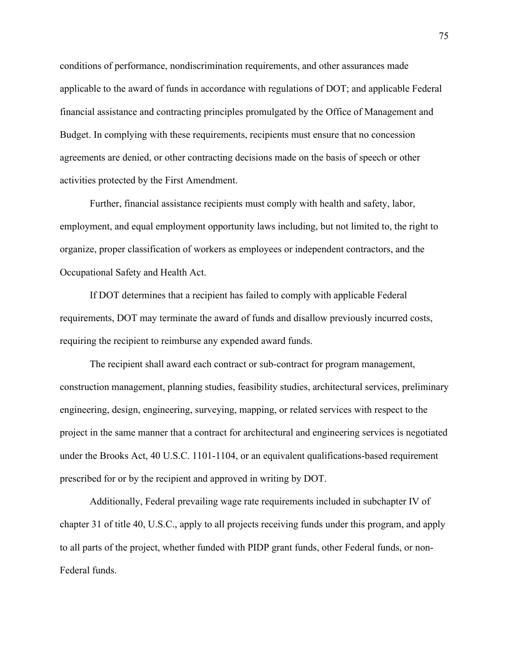conditions of performance, nondiscrimination requirements, and other assurances made applicable to the award of funds in accordance with regulations of DOT; and applicable Federal financial assistance and contracting principles promulgated by the Office of Management and Budget. In complying with these requirements, recipients must ensure that no concession agreements are denied, or other contracting decisions made on the basis of speech or other activities protected by the First Amendment.

Further, financial assistance recipients must comply with health and safety, labor, employment, and equal employment opportunity laws including, but not limited to, the right to organize, proper classification of workers as employees or independent contractors, and the Occupational Safety and Health Act.

If DOT determines that a recipient has failed to comply with applicable Federal requirements, DOT may terminate the award of funds and disallow previously incurred costs, requiring the recipient to reimburse any expended award funds.

The recipient shall award each contract or sub-contract for program management, construction management, planning studies, feasibility studies, architectural services, preliminary engineering, design, engineering, surveying, mapping, or related services with respect to the project in the same manner that a contract for architectural and engineering services is negotiated under the Brooks Act, 40 U.S.C. 1101-1104, or an equivalent qualifications-based requirement prescribed for or by the recipient and approved in writing by DOT.

Additionally, Federal prevailing wage rate requirements included in subchapter IV of chapter 31 of title 40, U.S.C., apply to all projects receiving funds under this program, and apply to all parts of the project, whether funded with PIDP grant funds, other Federal funds, or non-Federal funds.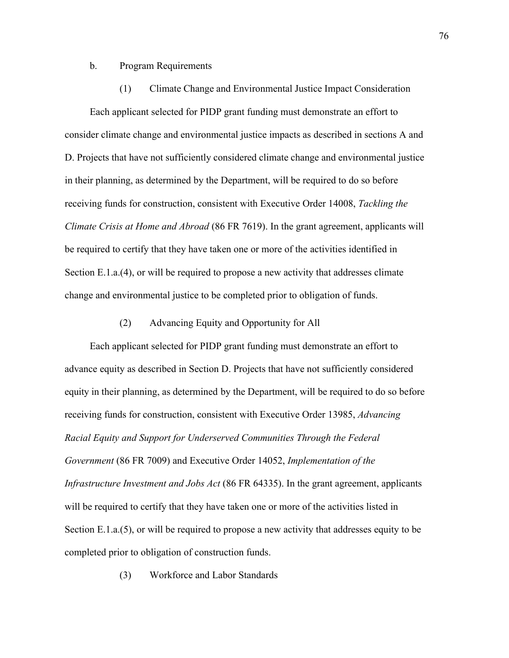#### b. Program Requirements

# (1) Climate Change and Environmental Justice Impact Consideration

Each applicant selected for PIDP grant funding must demonstrate an effort to consider climate change and environmental justice impacts as described in sections A and D. Projects that have not sufficiently considered climate change and environmental justice in their planning, as determined by the Department, will be required to do so before receiving funds for construction, consistent with Executive Order 14008, *Tackling the Climate Crisis at Home and Abroad* (86 FR 7619). In the grant agreement, applicants will be required to certify that they have taken one or more of the activities identified in Section E.1.a.(4), or will be required to propose a new activity that addresses climate change and environmental justice to be completed prior to obligation of funds.

# (2) Advancing Equity and Opportunity for All

Each applicant selected for PIDP grant funding must demonstrate an effort to advance equity as described in Section D. Projects that have not sufficiently considered equity in their planning, as determined by the Department, will be required to do so before receiving funds for construction, consistent with Executive Order 13985, *Advancing Racial Equity and Support for Underserved Communities Through the Federal Government* (86 FR 7009) and Executive Order 14052, *Implementation of the Infrastructure Investment and Jobs Act* (86 FR 64335). In the grant agreement, applicants will be required to certify that they have taken one or more of the activities listed in Section E.1.a.(5), or will be required to propose a new activity that addresses equity to be completed prior to obligation of construction funds.

(3) Workforce and Labor Standards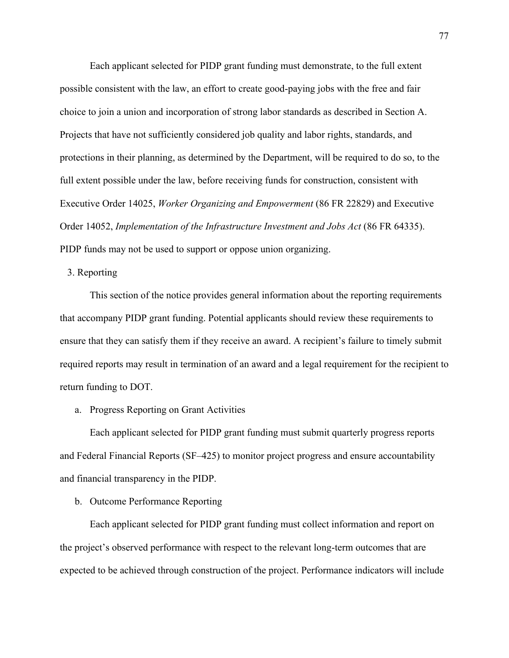Each applicant selected for PIDP grant funding must demonstrate, to the full extent possible consistent with the law, an effort to create good-paying jobs with the free and fair choice to join a union and incorporation of strong labor standards as described in Section A. Projects that have not sufficiently considered job quality and labor rights, standards, and protections in their planning, as determined by the Department, will be required to do so, to the full extent possible under the law, before receiving funds for construction, consistent with Executive Order 14025, *Worker Organizing and Empowerment* (86 FR 22829) and Executive Order 14052, *Implementation of the Infrastructure Investment and Jobs Act* (86 FR 64335). PIDP funds may not be used to support or oppose union organizing.

3. Reporting

This section of the notice provides general information about the reporting requirements that accompany PIDP grant funding. Potential applicants should review these requirements to ensure that they can satisfy them if they receive an award. A recipient's failure to timely submit required reports may result in termination of an award and a legal requirement for the recipient to return funding to DOT.

a. Progress Reporting on Grant Activities

Each applicant selected for PIDP grant funding must submit quarterly progress reports and Federal Financial Reports (SF–425) to monitor project progress and ensure accountability and financial transparency in the PIDP.

b. Outcome Performance Reporting

Each applicant selected for PIDP grant funding must collect information and report on the project's observed performance with respect to the relevant long-term outcomes that are expected to be achieved through construction of the project. Performance indicators will include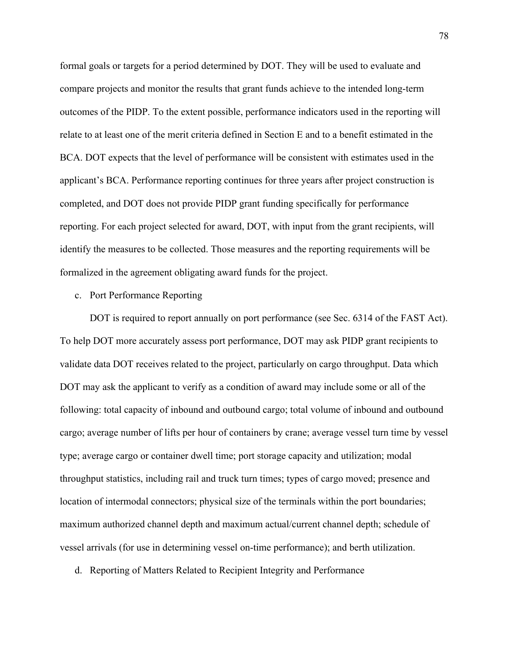formal goals or targets for a period determined by DOT. They will be used to evaluate and compare projects and monitor the results that grant funds achieve to the intended long-term outcomes of the PIDP. To the extent possible, performance indicators used in the reporting will relate to at least one of the merit criteria defined in Section E and to a benefit estimated in the BCA. DOT expects that the level of performance will be consistent with estimates used in the applicant's BCA. Performance reporting continues for three years after project construction is completed, and DOT does not provide PIDP grant funding specifically for performance reporting. For each project selected for award, DOT, with input from the grant recipients, will identify the measures to be collected. Those measures and the reporting requirements will be formalized in the agreement obligating award funds for the project.

# c. Port Performance Reporting

DOT is required to report annually on port performance (see Sec. 6314 of the FAST Act). To help DOT more accurately assess port performance, DOT may ask PIDP grant recipients to validate data DOT receives related to the project, particularly on cargo throughput. Data which DOT may ask the applicant to verify as a condition of award may include some or all of the following: total capacity of inbound and outbound cargo; total volume of inbound and outbound cargo; average number of lifts per hour of containers by crane; average vessel turn time by vessel type; average cargo or container dwell time; port storage capacity and utilization; modal throughput statistics, including rail and truck turn times; types of cargo moved; presence and location of intermodal connectors; physical size of the terminals within the port boundaries; maximum authorized channel depth and maximum actual/current channel depth; schedule of vessel arrivals (for use in determining vessel on-time performance); and berth utilization.

d. Reporting of Matters Related to Recipient Integrity and Performance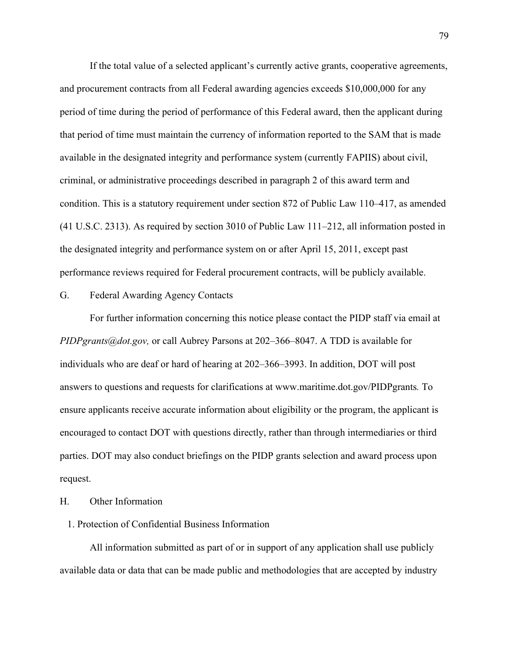If the total value of a selected applicant's currently active grants, cooperative agreements, and procurement contracts from all Federal awarding agencies exceeds \$10,000,000 for any period of time during the period of performance of this Federal award, then the applicant during that period of time must maintain the currency of information reported to the SAM that is made available in the designated integrity and performance system (currently FAPIIS) about civil, criminal, or administrative proceedings described in paragraph 2 of this award term and condition. This is a statutory requirement under section 872 of Public Law 110–417, as amended (41 U.S.C. 2313). As required by section 3010 of Public Law 111–212, all information posted in the designated integrity and performance system on or after April 15, 2011, except past performance reviews required for Federal procurement contracts, will be publicly available.

G. Federal Awarding Agency Contacts

For further information concerning this notice please contact the PIDP staff via email at *PIDPgrants@dot.gov,* or call Aubrey Parsons at 202–366–8047. A TDD is available for individuals who are deaf or hard of hearing at 202–366–3993. In addition, DOT will post answers to questions and requests for clarifications at www.maritime.dot.gov/PIDPgrants*.* To ensure applicants receive accurate information about eligibility or the program, the applicant is encouraged to contact DOT with questions directly, rather than through intermediaries or third parties. DOT may also conduct briefings on the PIDP grants selection and award process upon request.

H. Other Information

# 1. Protection of Confidential Business Information

All information submitted as part of or in support of any application shall use publicly available data or data that can be made public and methodologies that are accepted by industry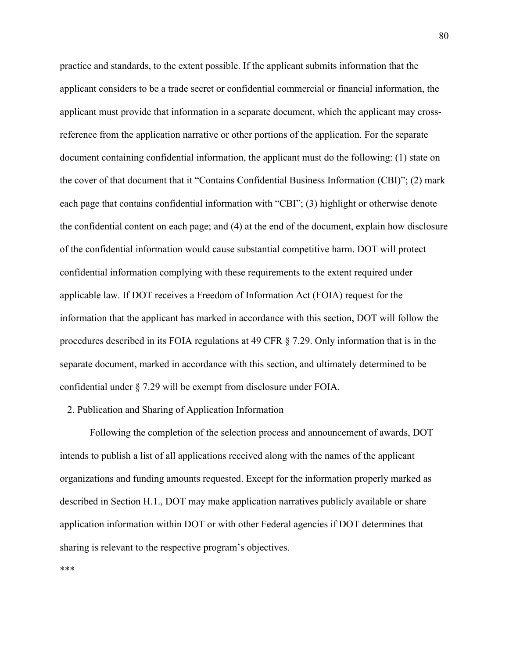practice and standards, to the extent possible. If the applicant submits information that the applicant considers to be a trade secret or confidential commercial or financial information, the applicant must provide that information in a separate document, which the applicant may crossreference from the application narrative or other portions of the application. For the separate document containing confidential information, the applicant must do the following: (1) state on the cover of that document that it "Contains Confidential Business Information (CBI)"; (2) mark each page that contains confidential information with "CBI"; (3) highlight or otherwise denote the confidential content on each page; and (4) at the end of the document, explain how disclosure of the confidential information would cause substantial competitive harm. DOT will protect confidential information complying with these requirements to the extent required under applicable law. If DOT receives a Freedom of Information Act (FOIA) request for the information that the applicant has marked in accordance with this section, DOT will follow the procedures described in its FOIA regulations at 49 CFR § 7.29. Only information that is in the separate document, marked in accordance with this section, and ultimately determined to be confidential under § 7.29 will be exempt from disclosure under FOIA.

# 2. Publication and Sharing of Application Information

Following the completion of the selection process and announcement of awards, DOT intends to publish a list of all applications received along with the names of the applicant organizations and funding amounts requested. Except for the information properly marked as described in Section H.1., DOT may make application narratives publicly available or share application information within DOT or with other Federal agencies if DOT determines that sharing is relevant to the respective program's objectives.